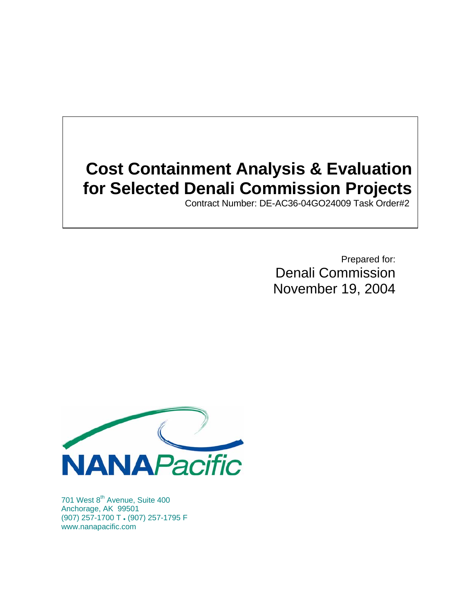# **Cost Containment Analysis & Evaluation for Selected Denali Commission Projects**

Contract Number: DE-AC36-04GO24009 Task Order#2

Prepared for: Denali Commission November 19, 2004



701 West 8<sup>th</sup> Avenue, Suite 400 Anchorage, AK 99501 (907) 257-1700 T z (907) 257-1795 F www.nanapacific.com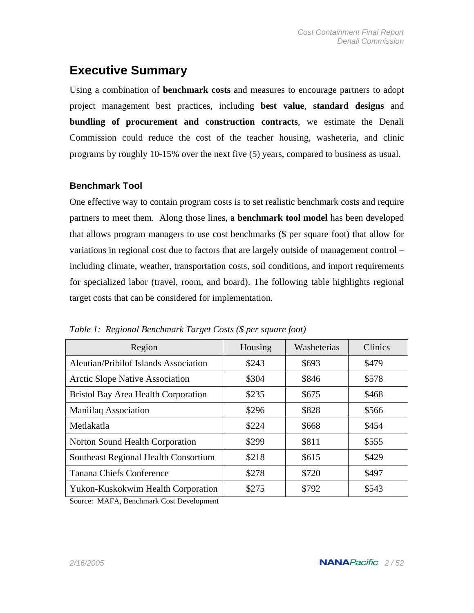## **Executive Summary**

Using a combination of **benchmark costs** and measures to encourage partners to adopt project management best practices, including **best value**, **standard designs** and **bundling of procurement and construction contracts**, we estimate the Denali Commission could reduce the cost of the teacher housing, washeteria, and clinic programs by roughly 10-15% over the next five (5) years, compared to business as usual.

### **Benchmark Tool**

One effective way to contain program costs is to set realistic benchmark costs and require partners to meet them. Along those lines, a **benchmark tool model** has been developed that allows program managers to use cost benchmarks (\$ per square foot) that allow for variations in regional cost due to factors that are largely outside of management control – including climate, weather, transportation costs, soil conditions, and import requirements for specialized labor (travel, room, and board). The following table highlights regional target costs that can be considered for implementation.

| Region                                       | Housing | Washeterias | <b>Clinics</b> |
|----------------------------------------------|---------|-------------|----------------|
| <b>Aleutian/Pribilof Islands Association</b> | \$243   | \$693       | \$479          |
| <b>Arctic Slope Native Association</b>       | \$304   | \$846       | \$578          |
| <b>Bristol Bay Area Health Corporation</b>   | \$235   | \$675       | \$468          |
| Maniilaq Association                         | \$296   | \$828       | \$566          |
| Metlakatla                                   | \$224   | \$668       | \$454          |
| Norton Sound Health Corporation              | \$299   | \$811       | \$555          |
| Southeast Regional Health Consortium         | \$218   | \$615       | \$429          |
| Tanana Chiefs Conference                     | \$278   | \$720       | \$497          |
| Yukon-Kuskokwim Health Corporation           | \$275   | \$792       | \$543          |

*Table 1: Regional Benchmark Target Costs (\$ per square foot)*

Source: MAFA, Benchmark Cost Development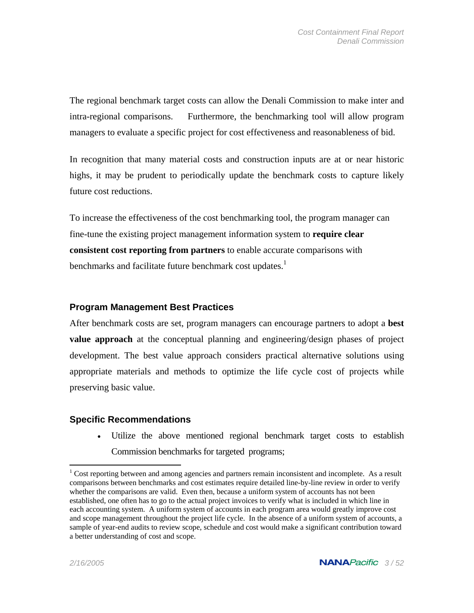The regional benchmark target costs can allow the Denali Commission to make inter and intra-regional comparisons. Furthermore, the benchmarking tool will allow program managers to evaluate a specific project for cost effectiveness and reasonableness of bid.

In recognition that many material costs and construction inputs are at or near historic highs, it may be prudent to periodically update the benchmark costs to capture likely future cost reductions.

To increase the effectiveness of the cost benchmarking tool, the program manager can fine-tune the existing project management information system to **require clear consistent cost reporting from partners** to enable accurate comparisons with benchmarks and facilitate future benchmark cost updates.<sup>1</sup>

### **Program Management Best Practices**

After benchmark costs are set, program managers can encourage partners to adopt a **best value approach** at the conceptual planning and engineering/design phases of project development. The best value approach considers practical alternative solutions using appropriate materials and methods to optimize the life cycle cost of projects while preserving basic value.

### **Specific Recommendations**

• Utilize the above mentioned regional benchmark target costs to establish Commission benchmarks for targeted programs;

<u>.</u>

 $1$  Cost reporting between and among agencies and partners remain inconsistent and incomplete. As a result comparisons between benchmarks and cost estimates require detailed line-by-line review in order to verify whether the comparisons are valid. Even then, because a uniform system of accounts has not been established, one often has to go to the actual project invoices to verify what is included in which line in each accounting system. A uniform system of accounts in each program area would greatly improve cost and scope management throughout the project life cycle. In the absence of a uniform system of accounts, a sample of year-end audits to review scope, schedule and cost would make a significant contribution toward a better understanding of cost and scope.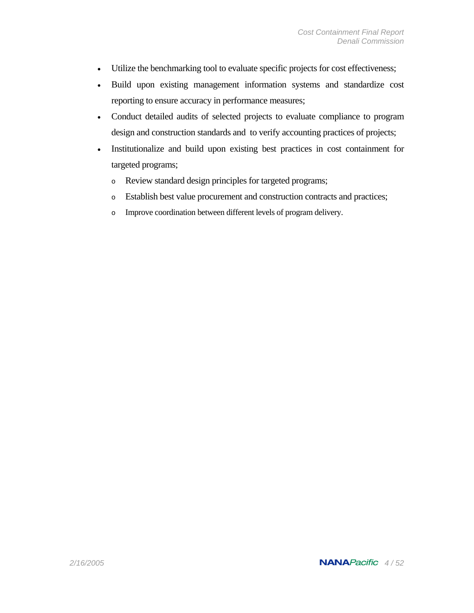- Utilize the benchmarking tool to evaluate specific projects for cost effectiveness;
- Build upon existing management information systems and standardize cost reporting to ensure accuracy in performance measures;
- Conduct detailed audits of selected projects to evaluate compliance to program design and construction standards and to verify accounting practices of projects;
- Institutionalize and build upon existing best practices in cost containment for targeted programs;
	- o Review standard design principles for targeted programs;
	- o Establish best value procurement and construction contracts and practices;
	- o Improve coordination between different levels of program delivery.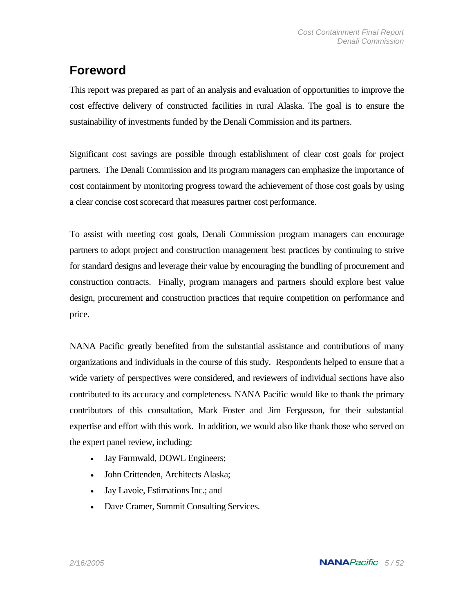## **Foreword**

This report was prepared as part of an analysis and evaluation of opportunities to improve the cost effective delivery of constructed facilities in rural Alaska. The goal is to ensure the sustainability of investments funded by the Denali Commission and its partners.

Significant cost savings are possible through establishment of clear cost goals for project partners. The Denali Commission and its program managers can emphasize the importance of cost containment by monitoring progress toward the achievement of those cost goals by using a clear concise cost scorecard that measures partner cost performance.

To assist with meeting cost goals, Denali Commission program managers can encourage partners to adopt project and construction management best practices by continuing to strive for standard designs and leverage their value by encouraging the bundling of procurement and construction contracts. Finally, program managers and partners should explore best value design, procurement and construction practices that require competition on performance and price.

NANA Pacific greatly benefited from the substantial assistance and contributions of many organizations and individuals in the course of this study. Respondents helped to ensure that a wide variety of perspectives were considered, and reviewers of individual sections have also contributed to its accuracy and completeness. NANA Pacific would like to thank the primary contributors of this consultation, Mark Foster and Jim Fergusson, for their substantial expertise and effort with this work. In addition, we would also like thank those who served on the expert panel review, including:

- Jay Farmwald, DOWL Engineers;
- John Crittenden, Architects Alaska;
- Jay Lavoie, Estimations Inc.; and
- Dave Cramer, Summit Consulting Services.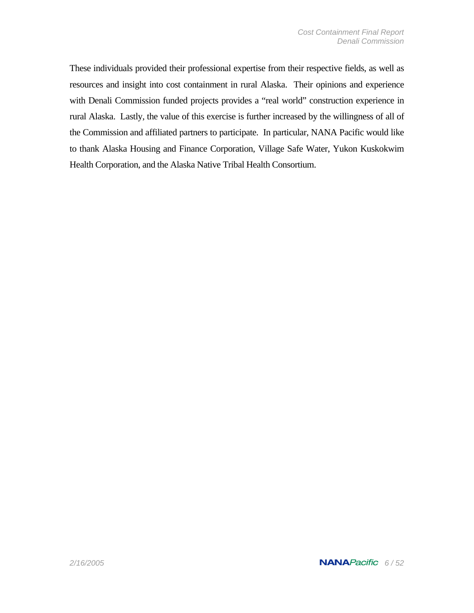These individuals provided their professional expertise from their respective fields, as well as resources and insight into cost containment in rural Alaska. Their opinions and experience with Denali Commission funded projects provides a "real world" construction experience in rural Alaska. Lastly, the value of this exercise is further increased by the willingness of all of the Commission and affiliated partners to participate. In particular, NANA Pacific would like to thank Alaska Housing and Finance Corporation, Village Safe Water, Yukon Kuskokwim Health Corporation, and the Alaska Native Tribal Health Consortium.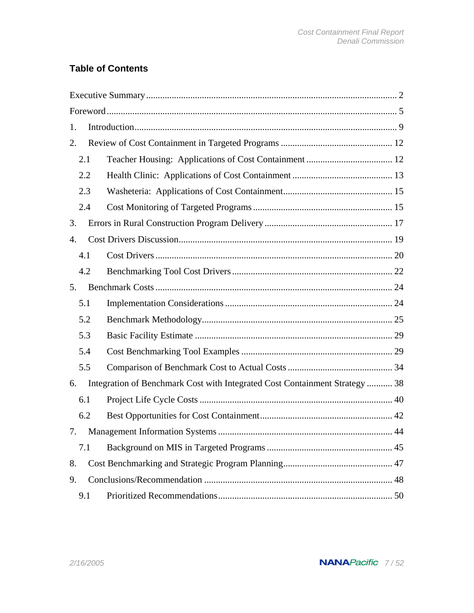## **Table of Contents**

| 1.                                                                               |  |
|----------------------------------------------------------------------------------|--|
| 2.                                                                               |  |
| 2.1                                                                              |  |
| 2.2                                                                              |  |
| 2.3                                                                              |  |
| 2.4                                                                              |  |
| 3.                                                                               |  |
| 4.                                                                               |  |
| 4.1                                                                              |  |
| 4.2                                                                              |  |
| 5.                                                                               |  |
| 5.1                                                                              |  |
| 5.2                                                                              |  |
| 5.3                                                                              |  |
| 5.4                                                                              |  |
| 5.5                                                                              |  |
| Integration of Benchmark Cost with Integrated Cost Containment Strategy 38<br>6. |  |
| 6.1                                                                              |  |
| 6.2                                                                              |  |
| 7.                                                                               |  |
| 7.1                                                                              |  |
| 8.                                                                               |  |
| 9.                                                                               |  |
| 9.1                                                                              |  |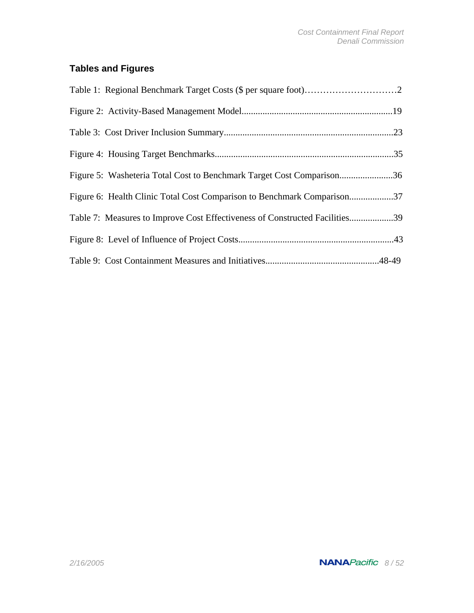## **Tables and Figures**

| Figure 5: Washeteria Total Cost to Benchmark Target Cost Comparison36       |  |
|-----------------------------------------------------------------------------|--|
| Figure 6: Health Clinic Total Cost Comparison to Benchmark Comparison37     |  |
| Table 7: Measures to Improve Cost Effectiveness of Constructed Facilities39 |  |
|                                                                             |  |
|                                                                             |  |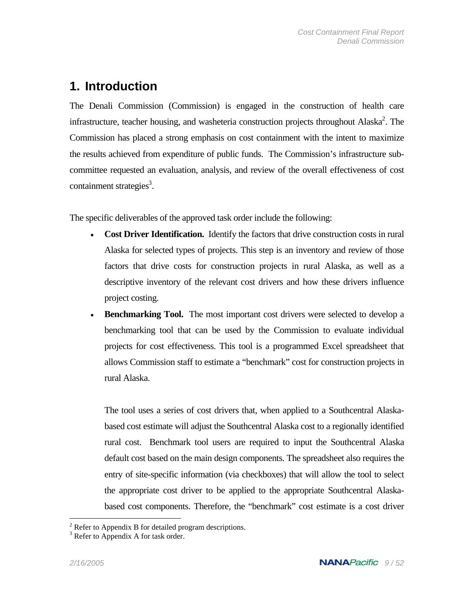## **1. Introduction**

The Denali Commission (Commission) is engaged in the construction of health care infrastructure, teacher housing, and washeteria construction projects throughout Alaska<sup>2</sup>. The Commission has placed a strong emphasis on cost containment with the intent to maximize the results achieved from expenditure of public funds. The Commission's infrastructure subcommittee requested an evaluation, analysis, and review of the overall effectiveness of cost containment strategies<sup>3</sup>.

The specific deliverables of the approved task order include the following:

- **Cost Driver Identification.** Identify the factors that drive construction costs in rural Alaska for selected types of projects. This step is an inventory and review of those factors that drive costs for construction projects in rural Alaska, as well as a descriptive inventory of the relevant cost drivers and how these drivers influence project costing.
- **Benchmarking Tool.** The most important cost drivers were selected to develop a benchmarking tool that can be used by the Commission to evaluate individual projects for cost effectiveness. This tool is a programmed Excel spreadsheet that allows Commission staff to estimate a "benchmark" cost for construction projects in rural Alaska.

The tool uses a series of cost drivers that, when applied to a Southcentral Alaskabased cost estimate will adjust the Southcentral Alaska cost to a regionally identified rural cost. Benchmark tool users are required to input the Southcentral Alaska default cost based on the main design components. The spreadsheet also requires the entry of site-specific information (via checkboxes) that will allow the tool to select the appropriate cost driver to be applied to the appropriate Southcentral Alaskabased cost components. Therefore, the "benchmark" cost estimate is a cost driver

<u>.</u>

<sup>&</sup>lt;sup>2</sup> Refer to Appendix B for detailed program descriptions.

 $3$  Refer to Appendix A for task order.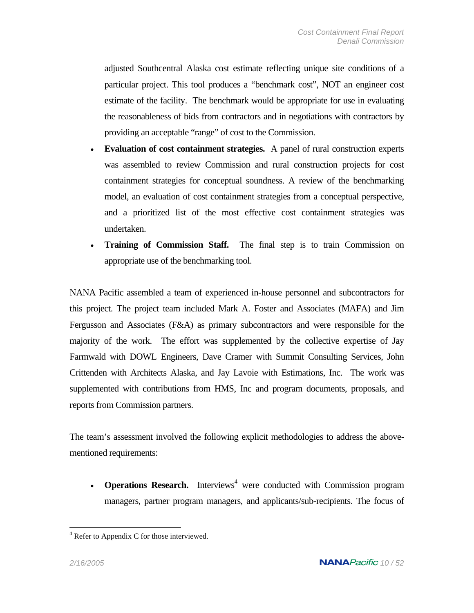adjusted Southcentral Alaska cost estimate reflecting unique site conditions of a particular project. This tool produces a "benchmark cost", NOT an engineer cost estimate of the facility. The benchmark would be appropriate for use in evaluating the reasonableness of bids from contractors and in negotiations with contractors by providing an acceptable "range" of cost to the Commission.

- **Evaluation of cost containment strategies.** A panel of rural construction experts was assembled to review Commission and rural construction projects for cost containment strategies for conceptual soundness. A review of the benchmarking model, an evaluation of cost containment strategies from a conceptual perspective, and a prioritized list of the most effective cost containment strategies was undertaken.
- **Training of Commission Staff.** The final step is to train Commission on appropriate use of the benchmarking tool.

NANA Pacific assembled a team of experienced in-house personnel and subcontractors for this project. The project team included Mark A. Foster and Associates (MAFA) and Jim Fergusson and Associates (F&A) as primary subcontractors and were responsible for the majority of the work. The effort was supplemented by the collective expertise of Jay Farmwald with DOWL Engineers, Dave Cramer with Summit Consulting Services, John Crittenden with Architects Alaska, and Jay Lavoie with Estimations, Inc. The work was supplemented with contributions from HMS, Inc and program documents, proposals, and reports from Commission partners.

The team's assessment involved the following explicit methodologies to address the abovementioned requirements:

• **Operations Research.** Interviews<sup>4</sup> were conducted with Commission program managers, partner program managers, and applicants/sub-recipients. The focus of

1

<sup>&</sup>lt;sup>4</sup> Refer to Appendix C for those interviewed.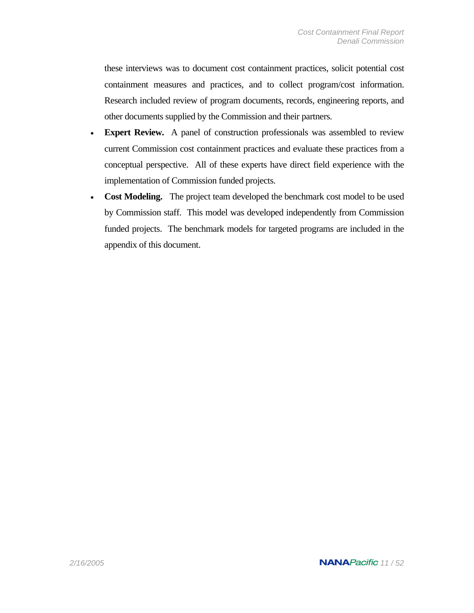these interviews was to document cost containment practices, solicit potential cost containment measures and practices, and to collect program/cost information. Research included review of program documents, records, engineering reports, and other documents supplied by the Commission and their partners.

- **Expert Review.** A panel of construction professionals was assembled to review current Commission cost containment practices and evaluate these practices from a conceptual perspective. All of these experts have direct field experience with the implementation of Commission funded projects.
- **Cost Modeling.** The project team developed the benchmark cost model to be used by Commission staff. This model was developed independently from Commission funded projects. The benchmark models for targeted programs are included in the appendix of this document.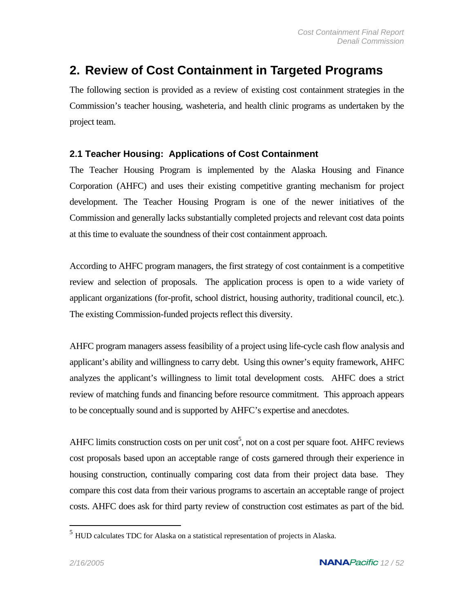## **2. Review of Cost Containment in Targeted Programs**

The following section is provided as a review of existing cost containment strategies in the Commission's teacher housing, washeteria, and health clinic programs as undertaken by the project team.

### **2.1 Teacher Housing: Applications of Cost Containment**

The Teacher Housing Program is implemented by the Alaska Housing and Finance Corporation (AHFC) and uses their existing competitive granting mechanism for project development. The Teacher Housing Program is one of the newer initiatives of the Commission and generally lacks substantially completed projects and relevant cost data points at this time to evaluate the soundness of their cost containment approach.

According to AHFC program managers, the first strategy of cost containment is a competitive review and selection of proposals. The application process is open to a wide variety of applicant organizations (for-profit, school district, housing authority, traditional council, etc.). The existing Commission-funded projects reflect this diversity.

AHFC program managers assess feasibility of a project using life-cycle cash flow analysis and applicant's ability and willingness to carry debt. Using this owner's equity framework, AHFC analyzes the applicant's willingness to limit total development costs. AHFC does a strict review of matching funds and financing before resource commitment. This approach appears to be conceptually sound and is supported by AHFC's expertise and anecdotes.

AHFC limits construction costs on per unit  $cost<sup>5</sup>$ , not on a cost per square foot. AHFC reviews cost proposals based upon an acceptable range of costs garnered through their experience in housing construction, continually comparing cost data from their project data base. They compare this cost data from their various programs to ascertain an acceptable range of project costs. AHFC does ask for third party review of construction cost estimates as part of the bid.

 $\overline{a}$ 

 $<sup>5</sup>$  HUD calculates TDC for Alaska on a statistical representation of projects in Alaska.</sup>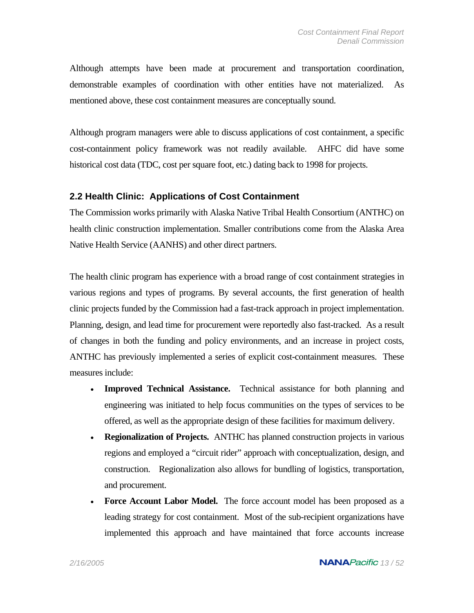Although attempts have been made at procurement and transportation coordination, demonstrable examples of coordination with other entities have not materialized. As mentioned above, these cost containment measures are conceptually sound.

Although program managers were able to discuss applications of cost containment, a specific cost-containment policy framework was not readily available. AHFC did have some historical cost data (TDC, cost per square foot, etc.) dating back to 1998 for projects.

#### **2.2 Health Clinic: Applications of Cost Containment**

The Commission works primarily with Alaska Native Tribal Health Consortium (ANTHC) on health clinic construction implementation. Smaller contributions come from the Alaska Area Native Health Service (AANHS) and other direct partners.

The health clinic program has experience with a broad range of cost containment strategies in various regions and types of programs. By several accounts, the first generation of health clinic projects funded by the Commission had a fast-track approach in project implementation. Planning, design, and lead time for procurement were reportedly also fast-tracked. As a result of changes in both the funding and policy environments, and an increase in project costs, ANTHC has previously implemented a series of explicit cost-containment measures. These measures include:

- **Improved Technical Assistance.** Technical assistance for both planning and engineering was initiated to help focus communities on the types of services to be offered, as well as the appropriate design of these facilities for maximum delivery.
- **Regionalization of Projects.** ANTHC has planned construction projects in various regions and employed a "circuit rider" approach with conceptualization, design, and construction. Regionalization also allows for bundling of logistics, transportation, and procurement.
- **Force Account Labor Model.** The force account model has been proposed as a leading strategy for cost containment. Most of the sub-recipient organizations have implemented this approach and have maintained that force accounts increase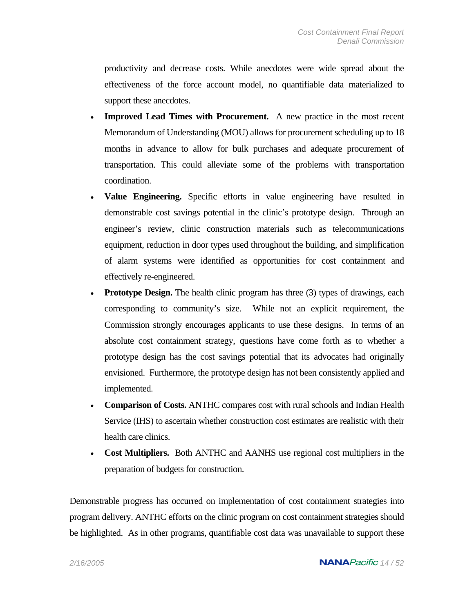productivity and decrease costs. While anecdotes were wide spread about the effectiveness of the force account model, no quantifiable data materialized to support these anecdotes.

- **Improved Lead Times with Procurement.** A new practice in the most recent Memorandum of Understanding (MOU) allows for procurement scheduling up to 18 months in advance to allow for bulk purchases and adequate procurement of transportation. This could alleviate some of the problems with transportation coordination.
- **Value Engineering.** Specific efforts in value engineering have resulted in demonstrable cost savings potential in the clinic's prototype design. Through an engineer's review, clinic construction materials such as telecommunications equipment, reduction in door types used throughout the building, and simplification of alarm systems were identified as opportunities for cost containment and effectively re-engineered.
- **Prototype Design.** The health clinic program has three (3) types of drawings, each corresponding to community's size. While not an explicit requirement, the Commission strongly encourages applicants to use these designs. In terms of an absolute cost containment strategy, questions have come forth as to whether a prototype design has the cost savings potential that its advocates had originally envisioned. Furthermore, the prototype design has not been consistently applied and implemented.
- **Comparison of Costs.** ANTHC compares cost with rural schools and Indian Health Service (IHS) to ascertain whether construction cost estimates are realistic with their health care clinics.
- **Cost Multipliers.** Both ANTHC and AANHS use regional cost multipliers in the preparation of budgets for construction.

Demonstrable progress has occurred on implementation of cost containment strategies into program delivery. ANTHC efforts on the clinic program on cost containment strategies should be highlighted. As in other programs, quantifiable cost data was unavailable to support these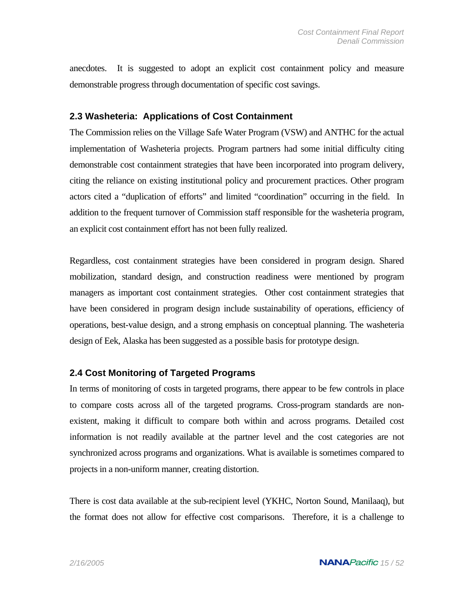anecdotes. It is suggested to adopt an explicit cost containment policy and measure demonstrable progress through documentation of specific cost savings.

#### **2.3 Washeteria: Applications of Cost Containment**

The Commission relies on the Village Safe Water Program (VSW) and ANTHC for the actual implementation of Washeteria projects. Program partners had some initial difficulty citing demonstrable cost containment strategies that have been incorporated into program delivery, citing the reliance on existing institutional policy and procurement practices. Other program actors cited a "duplication of efforts" and limited "coordination" occurring in the field. In addition to the frequent turnover of Commission staff responsible for the washeteria program, an explicit cost containment effort has not been fully realized.

Regardless, cost containment strategies have been considered in program design. Shared mobilization, standard design, and construction readiness were mentioned by program managers as important cost containment strategies. Other cost containment strategies that have been considered in program design include sustainability of operations, efficiency of operations, best-value design, and a strong emphasis on conceptual planning. The washeteria design of Eek, Alaska has been suggested as a possible basis for prototype design.

### **2.4 Cost Monitoring of Targeted Programs**

In terms of monitoring of costs in targeted programs, there appear to be few controls in place to compare costs across all of the targeted programs. Cross-program standards are nonexistent, making it difficult to compare both within and across programs. Detailed cost information is not readily available at the partner level and the cost categories are not synchronized across programs and organizations. What is available is sometimes compared to projects in a non-uniform manner, creating distortion.

There is cost data available at the sub-recipient level (YKHC, Norton Sound, Manilaaq), but the format does not allow for effective cost comparisons. Therefore, it is a challenge to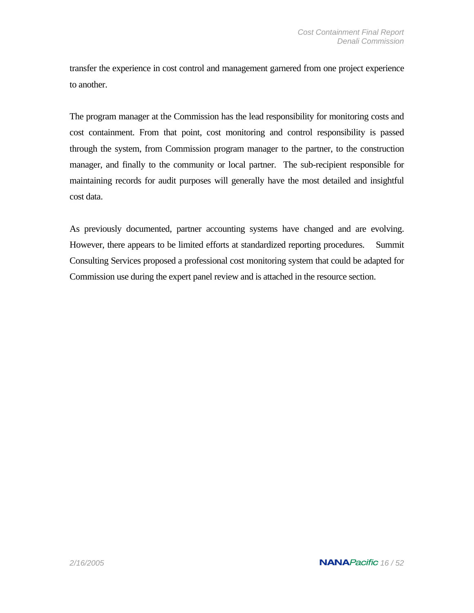transfer the experience in cost control and management garnered from one project experience to another.

The program manager at the Commission has the lead responsibility for monitoring costs and cost containment. From that point, cost monitoring and control responsibility is passed through the system, from Commission program manager to the partner, to the construction manager, and finally to the community or local partner. The sub-recipient responsible for maintaining records for audit purposes will generally have the most detailed and insightful cost data.

As previously documented, partner accounting systems have changed and are evolving. However, there appears to be limited efforts at standardized reporting procedures. Summit Consulting Services proposed a professional cost monitoring system that could be adapted for Commission use during the expert panel review and is attached in the resource section.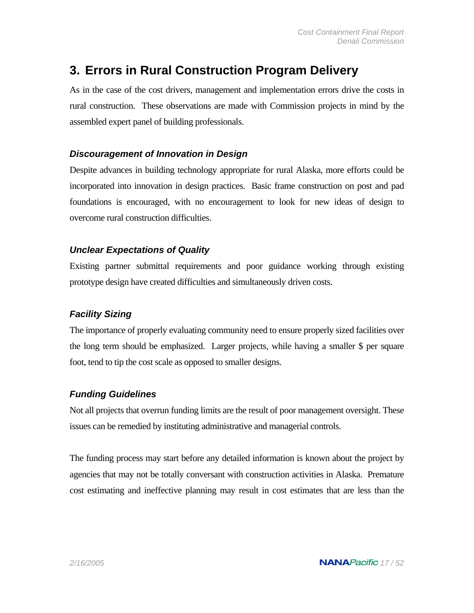## **3. Errors in Rural Construction Program Delivery**

As in the case of the cost drivers, management and implementation errors drive the costs in rural construction. These observations are made with Commission projects in mind by the assembled expert panel of building professionals.

### *Discouragement of Innovation in Design*

Despite advances in building technology appropriate for rural Alaska, more efforts could be incorporated into innovation in design practices. Basic frame construction on post and pad foundations is encouraged, with no encouragement to look for new ideas of design to overcome rural construction difficulties.

## *Unclear Expectations of Quality*

Existing partner submittal requirements and poor guidance working through existing prototype design have created difficulties and simultaneously driven costs.

## *Facility Sizing*

The importance of properly evaluating community need to ensure properly sized facilities over the long term should be emphasized. Larger projects, while having a smaller \$ per square foot, tend to tip the cost scale as opposed to smaller designs.

### *Funding Guidelines*

Not all projects that overrun funding limits are the result of poor management oversight. These issues can be remedied by instituting administrative and managerial controls.

The funding process may start before any detailed information is known about the project by agencies that may not be totally conversant with construction activities in Alaska. Premature cost estimating and ineffective planning may result in cost estimates that are less than the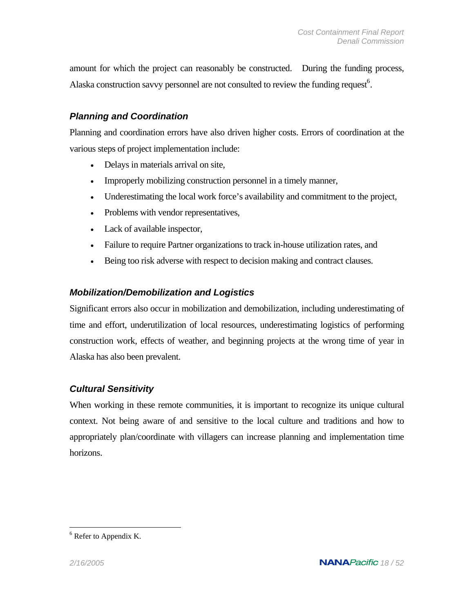amount for which the project can reasonably be constructed. During the funding process, Alaska construction savvy personnel are not consulted to review the funding request<sup>6</sup>.

## *Planning and Coordination*

Planning and coordination errors have also driven higher costs. Errors of coordination at the various steps of project implementation include:

- Delays in materials arrival on site,
- Improperly mobilizing construction personnel in a timely manner,
- Underestimating the local work force's availability and commitment to the project,
- Problems with vendor representatives,
- Lack of available inspector,
- Failure to require Partner organizations to track in-house utilization rates, and
- Being too risk adverse with respect to decision making and contract clauses.

### *Mobilization/Demobilization and Logistics*

Significant errors also occur in mobilization and demobilization, including underestimating of time and effort, underutilization of local resources, underestimating logistics of performing construction work, effects of weather, and beginning projects at the wrong time of year in Alaska has also been prevalent.

### *Cultural Sensitivity*

When working in these remote communities, it is important to recognize its unique cultural context. Not being aware of and sensitive to the local culture and traditions and how to appropriately plan/coordinate with villagers can increase planning and implementation time horizons.

 $\overline{a}$ 

 $6$  Refer to Appendix K.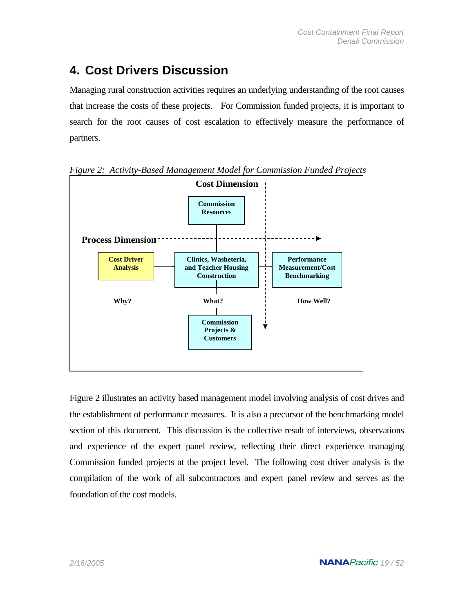## **4. Cost Drivers Discussion**

Managing rural construction activities requires an underlying understanding of the root causes that increase the costs of these projects. For Commission funded projects, it is important to search for the root causes of cost escalation to effectively measure the performance of partners.



*Figure 2: Activity-Based Management Model for Commission Funded Projects* 

Figure 2 illustrates an activity based management model involving analysis of cost drives and the establishment of performance measures. It is also a precursor of the benchmarking model section of this document. This discussion is the collective result of interviews, observations and experience of the expert panel review, reflecting their direct experience managing Commission funded projects at the project level. The following cost driver analysis is the compilation of the work of all subcontractors and expert panel review and serves as the foundation of the cost models.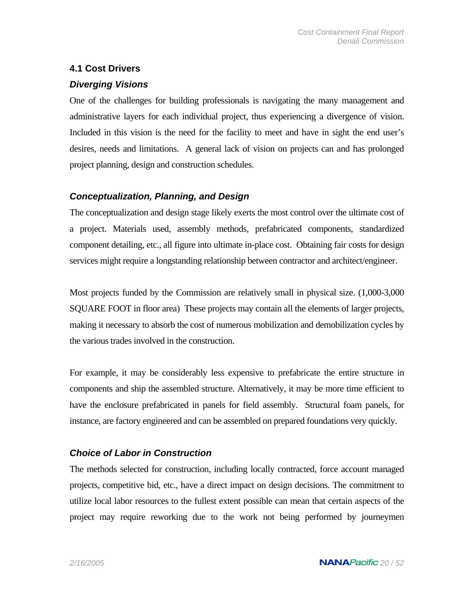## **4.1 Cost Drivers**

## *Diverging Visions*

One of the challenges for building professionals is navigating the many management and administrative layers for each individual project, thus experiencing a divergence of vision. Included in this vision is the need for the facility to meet and have in sight the end user's desires, needs and limitations. A general lack of vision on projects can and has prolonged project planning, design and construction schedules.

## *Conceptualization, Planning, and Design*

The conceptualization and design stage likely exerts the most control over the ultimate cost of a project. Materials used, assembly methods, prefabricated components, standardized component detailing, etc., all figure into ultimate in-place cost. Obtaining fair costs for design services might require a longstanding relationship between contractor and architect/engineer.

Most projects funded by the Commission are relatively small in physical size. (1,000-3,000 SQUARE FOOT in floor area) These projects may contain all the elements of larger projects, making it necessary to absorb the cost of numerous mobilization and demobilization cycles by the various trades involved in the construction.

For example, it may be considerably less expensive to prefabricate the entire structure in components and ship the assembled structure. Alternatively, it may be more time efficient to have the enclosure prefabricated in panels for field assembly. Structural foam panels, for instance, are factory engineered and can be assembled on prepared foundations very quickly.

## *Choice of Labor in Construction*

The methods selected for construction, including locally contracted, force account managed projects, competitive bid, etc., have a direct impact on design decisions. The commitment to utilize local labor resources to the fullest extent possible can mean that certain aspects of the project may require reworking due to the work not being performed by journeymen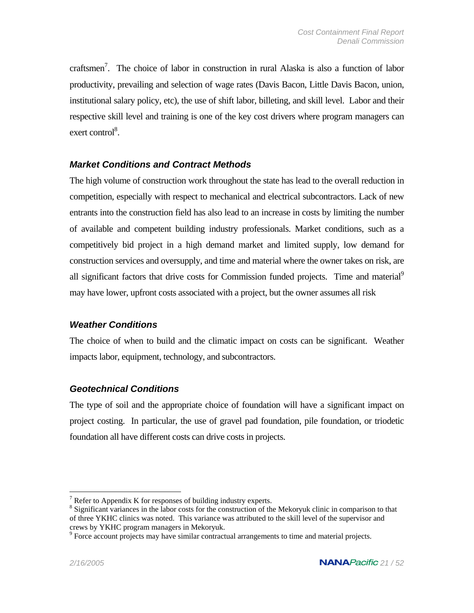craftsmen<sup>7</sup>. The choice of labor in construction in rural Alaska is also a function of labor productivity, prevailing and selection of wage rates (Davis Bacon, Little Davis Bacon, union, institutional salary policy, etc), the use of shift labor, billeting, and skill level. Labor and their respective skill level and training is one of the key cost drivers where program managers can exert control<sup>8</sup>.

### *Market Conditions and Contract Methods*

The high volume of construction work throughout the state has lead to the overall reduction in competition, especially with respect to mechanical and electrical subcontractors. Lack of new entrants into the construction field has also lead to an increase in costs by limiting the number of available and competent building industry professionals. Market conditions, such as a competitively bid project in a high demand market and limited supply, low demand for construction services and oversupply, and time and material where the owner takes on risk, are all significant factors that drive costs for Commission funded projects. Time and material<sup>9</sup> may have lower, upfront costs associated with a project, but the owner assumes all risk

#### *Weather Conditions*

The choice of when to build and the climatic impact on costs can be significant. Weather impacts labor, equipment, technology, and subcontractors.

### *Geotechnical Conditions*

The type of soil and the appropriate choice of foundation will have a significant impact on project costing. In particular, the use of gravel pad foundation, pile foundation, or triodetic foundation all have different costs can drive costs in projects.

 $\overline{a}$ 

 $7$  Refer to Appendix K for responses of building industry experts.

<sup>&</sup>lt;sup>8</sup> Significant variances in the labor costs for the construction of the Mekoryuk clinic in comparison to that of three YKHC clinics was noted. This variance was attributed to the skill level of the supervisor and crews by YKHC program managers in Mekoryuk. 9

<sup>&</sup>lt;sup>9</sup> Force account projects may have similar contractual arrangements to time and material projects.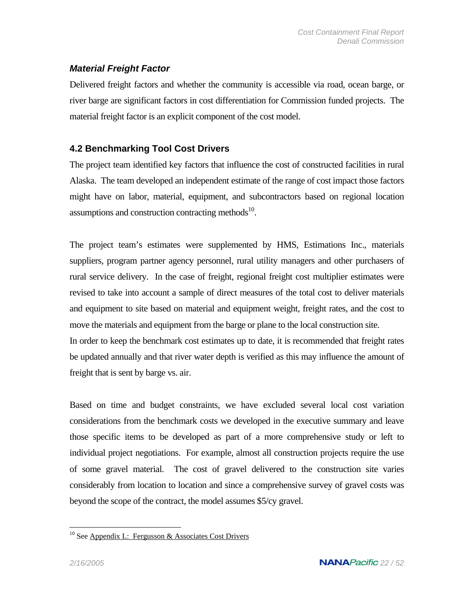## *Material Freight Factor*

Delivered freight factors and whether the community is accessible via road, ocean barge, or river barge are significant factors in cost differentiation for Commission funded projects. The material freight factor is an explicit component of the cost model.

## **4.2 Benchmarking Tool Cost Drivers**

The project team identified key factors that influence the cost of constructed facilities in rural Alaska. The team developed an independent estimate of the range of cost impact those factors might have on labor, material, equipment, and subcontractors based on regional location assumptions and construction contracting methods $^{10}$ .

The project team's estimates were supplemented by HMS, Estimations Inc., materials suppliers, program partner agency personnel, rural utility managers and other purchasers of rural service delivery. In the case of freight, regional freight cost multiplier estimates were revised to take into account a sample of direct measures of the total cost to deliver materials and equipment to site based on material and equipment weight, freight rates, and the cost to move the materials and equipment from the barge or plane to the local construction site. In order to keep the benchmark cost estimates up to date, it is recommended that freight rates be updated annually and that river water depth is verified as this may influence the amount of freight that is sent by barge vs. air.

Based on time and budget constraints, we have excluded several local cost variation considerations from the benchmark costs we developed in the executive summary and leave those specific items to be developed as part of a more comprehensive study or left to individual project negotiations. For example, almost all construction projects require the use of some gravel material. The cost of gravel delivered to the construction site varies considerably from location to location and since a comprehensive survey of gravel costs was beyond the scope of the contract, the model assumes \$5/cy gravel.

 $\overline{a}$ <sup>10</sup> See Appendix L: Fergusson & Associates Cost Drivers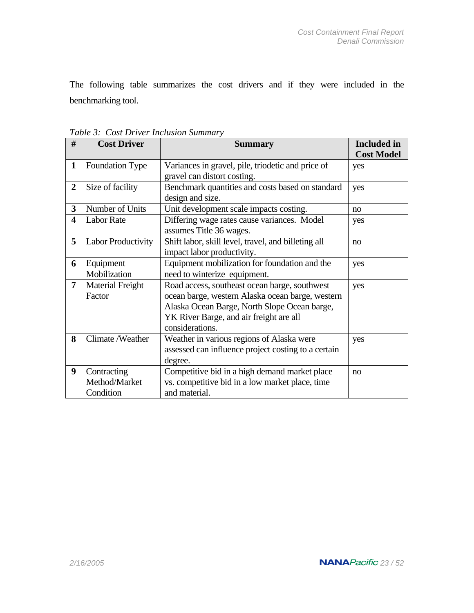The following table summarizes the cost drivers and if they were included in the benchmarking tool.

| #                       | <b>Cost Driver</b>      | <b>Summary</b>                                          | <b>Included</b> in |
|-------------------------|-------------------------|---------------------------------------------------------|--------------------|
|                         |                         |                                                         | <b>Cost Model</b>  |
| $\mathbf{1}$            | <b>Foundation Type</b>  | Variances in gravel, pile, triodetic and price of       | yes                |
|                         |                         | gravel can distort costing.                             |                    |
| $\overline{2}$          | Size of facility        | Benchmark quantities and costs based on standard<br>yes |                    |
|                         |                         | design and size.                                        |                    |
| 3                       | Number of Units         | Unit development scale impacts costing.                 | no                 |
| $\overline{\mathbf{4}}$ | <b>Labor Rate</b>       | Differing wage rates cause variances. Model             | yes                |
|                         |                         | assumes Title 36 wages.                                 |                    |
| 5                       | Labor Productivity      | Shift labor, skill level, travel, and billeting all     | no                 |
|                         |                         | impact labor productivity.                              |                    |
| 6                       | Equipment               | Equipment mobilization for foundation and the           | yes                |
|                         | Mobilization            | need to winterize equipment.                            |                    |
| 7                       | <b>Material Freight</b> | Road access, southeast ocean barge, southwest           | yes                |
|                         | Factor                  | ocean barge, western Alaska ocean barge, western        |                    |
|                         |                         | Alaska Ocean Barge, North Slope Ocean barge,            |                    |
|                         |                         | YK River Barge, and air freight are all                 |                    |
|                         |                         | considerations.                                         |                    |
| 8                       | Climate/Weather         | Weather in various regions of Alaska were               | yes                |
|                         |                         | assessed can influence project costing to a certain     |                    |
|                         |                         | degree.                                                 |                    |
| 9                       | Contracting             | Competitive bid in a high demand market place           | no                 |
|                         | Method/Market           | vs. competitive bid in a low market place, time         |                    |
|                         | Condition               | and material.                                           |                    |

*Table 3: Cost Driver Inclusion Summary*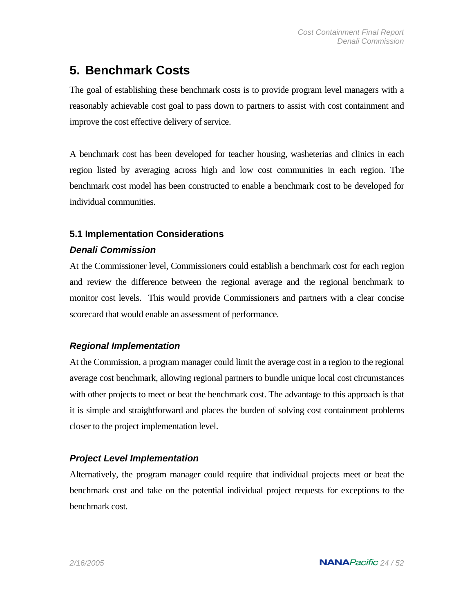## **5. Benchmark Costs**

The goal of establishing these benchmark costs is to provide program level managers with a reasonably achievable cost goal to pass down to partners to assist with cost containment and improve the cost effective delivery of service.

A benchmark cost has been developed for teacher housing, washeterias and clinics in each region listed by averaging across high and low cost communities in each region. The benchmark cost model has been constructed to enable a benchmark cost to be developed for individual communities.

## **5.1 Implementation Considerations**

## *Denali Commission*

At the Commissioner level, Commissioners could establish a benchmark cost for each region and review the difference between the regional average and the regional benchmark to monitor cost levels. This would provide Commissioners and partners with a clear concise scorecard that would enable an assessment of performance.

## *Regional Implementation*

At the Commission, a program manager could limit the average cost in a region to the regional average cost benchmark, allowing regional partners to bundle unique local cost circumstances with other projects to meet or beat the benchmark cost. The advantage to this approach is that it is simple and straightforward and places the burden of solving cost containment problems closer to the project implementation level.

## *Project Level Implementation*

Alternatively, the program manager could require that individual projects meet or beat the benchmark cost and take on the potential individual project requests for exceptions to the benchmark cost.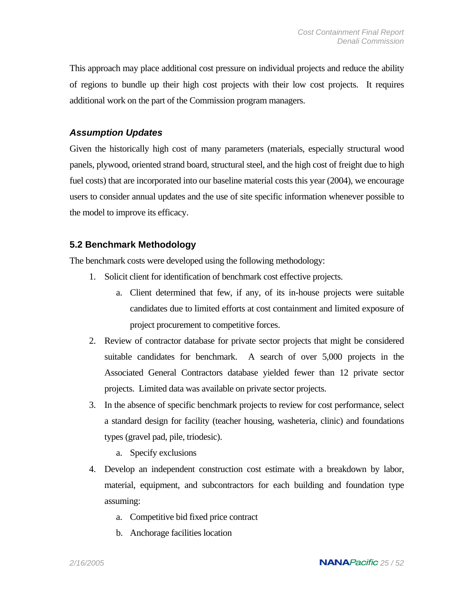This approach may place additional cost pressure on individual projects and reduce the ability of regions to bundle up their high cost projects with their low cost projects. It requires additional work on the part of the Commission program managers.

#### *Assumption Updates*

Given the historically high cost of many parameters (materials, especially structural wood panels, plywood, oriented strand board, structural steel, and the high cost of freight due to high fuel costs) that are incorporated into our baseline material costs this year (2004), we encourage users to consider annual updates and the use of site specific information whenever possible to the model to improve its efficacy.

### **5.2 Benchmark Methodology**

The benchmark costs were developed using the following methodology:

- 1. Solicit client for identification of benchmark cost effective projects.
	- a. Client determined that few, if any, of its in-house projects were suitable candidates due to limited efforts at cost containment and limited exposure of project procurement to competitive forces.
- 2. Review of contractor database for private sector projects that might be considered suitable candidates for benchmark. A search of over 5,000 projects in the Associated General Contractors database yielded fewer than 12 private sector projects. Limited data was available on private sector projects.
- 3. In the absence of specific benchmark projects to review for cost performance, select a standard design for facility (teacher housing, washeteria, clinic) and foundations types (gravel pad, pile, triodesic).
	- a. Specify exclusions
- 4. Develop an independent construction cost estimate with a breakdown by labor, material, equipment, and subcontractors for each building and foundation type assuming:
	- a. Competitive bid fixed price contract
	- b. Anchorage facilities location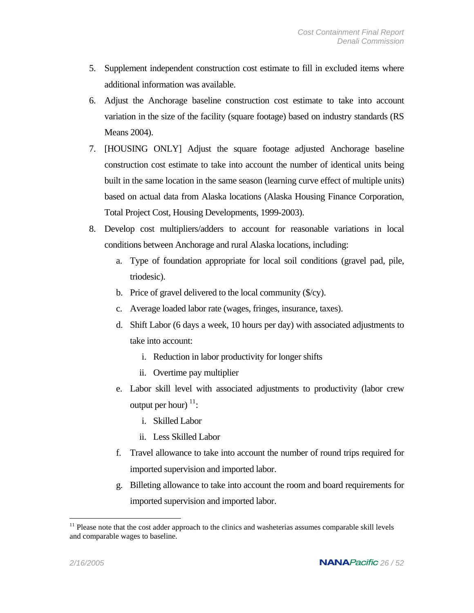- 5. Supplement independent construction cost estimate to fill in excluded items where additional information was available.
- 6. Adjust the Anchorage baseline construction cost estimate to take into account variation in the size of the facility (square footage) based on industry standards (RS Means 2004).
- 7. [HOUSING ONLY] Adjust the square footage adjusted Anchorage baseline construction cost estimate to take into account the number of identical units being built in the same location in the same season (learning curve effect of multiple units) based on actual data from Alaska locations (Alaska Housing Finance Corporation, Total Project Cost, Housing Developments, 1999-2003).
- 8. Develop cost multipliers/adders to account for reasonable variations in local conditions between Anchorage and rural Alaska locations, including:
	- a. Type of foundation appropriate for local soil conditions (gravel pad, pile, triodesic).
	- b. Price of gravel delivered to the local community (\$/cy).
	- c. Average loaded labor rate (wages, fringes, insurance, taxes).
	- d. Shift Labor (6 days a week, 10 hours per day) with associated adjustments to take into account:
		- i. Reduction in labor productivity for longer shifts
		- ii. Overtime pay multiplier
	- e. Labor skill level with associated adjustments to productivity (labor crew output per hour)  $11$ :
		- i. Skilled Labor
		- ii. Less Skilled Labor
	- f. Travel allowance to take into account the number of round trips required for imported supervision and imported labor.
	- g. Billeting allowance to take into account the room and board requirements for imported supervision and imported labor.

<u>.</u>

 $11$  Please note that the cost adder approach to the clinics and washeterias assumes comparable skill levels and comparable wages to baseline.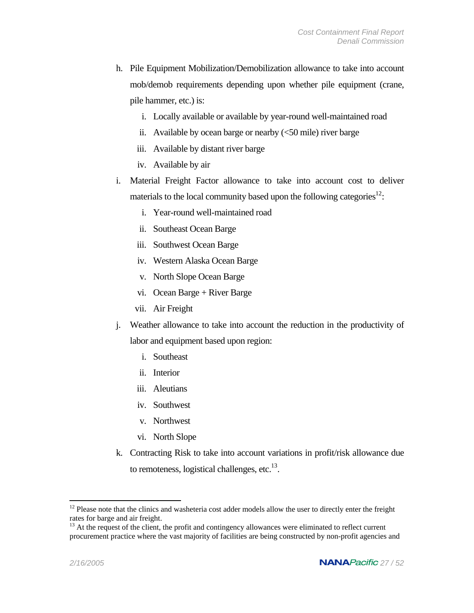- h. Pile Equipment Mobilization/Demobilization allowance to take into account mob/demob requirements depending upon whether pile equipment (crane, pile hammer, etc.) is:
	- i. Locally available or available by year-round well-maintained road
	- ii. Available by ocean barge or nearby  $\langle$  <50 mile) river barge
	- iii. Available by distant river barge
	- iv. Available by air
- i. Material Freight Factor allowance to take into account cost to deliver materials to the local community based upon the following categories $12$ :
	- i. Year-round well-maintained road
	- ii. Southeast Ocean Barge
	- iii. Southwest Ocean Barge
	- iv. Western Alaska Ocean Barge
	- v. North Slope Ocean Barge
	- vi. Ocean Barge + River Barge
	- vii. Air Freight
- j. Weather allowance to take into account the reduction in the productivity of labor and equipment based upon region:
	- i. Southeast
	- ii. Interior
	- iii. Aleutians
	- iv. Southwest
	- v. Northwest
	- vi. North Slope
- k. Contracting Risk to take into account variations in profit/risk allowance due to remoteness, logistical challenges, etc. $13$ .

1

 $12$  Please note that the clinics and washeteria cost adder models allow the user to directly enter the freight rates for barge and air freight.<br><sup>13</sup> At the request of the client, the profit and contingency allowances were eliminated to reflect current

procurement practice where the vast majority of facilities are being constructed by non-profit agencies and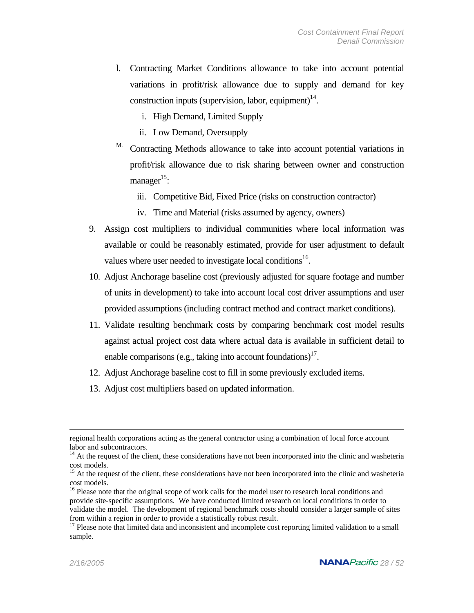- l. Contracting Market Conditions allowance to take into account potential variations in profit/risk allowance due to supply and demand for key construction inputs (supervision, labor, equipment)<sup>14</sup>.
	- i. High Demand, Limited Supply
	- ii. Low Demand, Oversupply
- <sup>M.</sup> Contracting Methods allowance to take into account potential variations in profit/risk allowance due to risk sharing between owner and construction manager $15$ :
	- iii. Competitive Bid, Fixed Price (risks on construction contractor)
	- iv. Time and Material (risks assumed by agency, owners)
- 9. Assign cost multipliers to individual communities where local information was available or could be reasonably estimated, provide for user adjustment to default values where user needed to investigate local conditions<sup>16</sup>.
- 10. Adjust Anchorage baseline cost (previously adjusted for square footage and number of units in development) to take into account local cost driver assumptions and user provided assumptions (including contract method and contract market conditions).
- 11. Validate resulting benchmark costs by comparing benchmark cost model results against actual project cost data where actual data is available in sufficient detail to enable comparisons (e.g., taking into account foundations)<sup>17</sup>.
- 12. Adjust Anchorage baseline cost to fill in some previously excluded items.
- 13. Adjust cost multipliers based on updated information.

regional health corporations acting as the general contractor using a combination of local force account labor and subcontractors.<br><sup>14</sup> At the request of the client, these considerations have not been incorporated into the clinic and washeteria

cost models.<br><sup>15</sup> At the request of the client, these considerations have not been incorporated into the clinic and washeteria<br>cost models.

<sup>&</sup>lt;sup>16</sup> Please note that the original scope of work calls for the model user to research local conditions and provide site-specific assumptions. We have conducted limited research on local conditions in order to validate the model. The development of regional benchmark costs should consider a larger sample of sites from within a region in order to provide a statistically robust result.<br><sup>17</sup> Please note that limited data and inconsistent and incomplete cost reporting limited validation to a small

sample.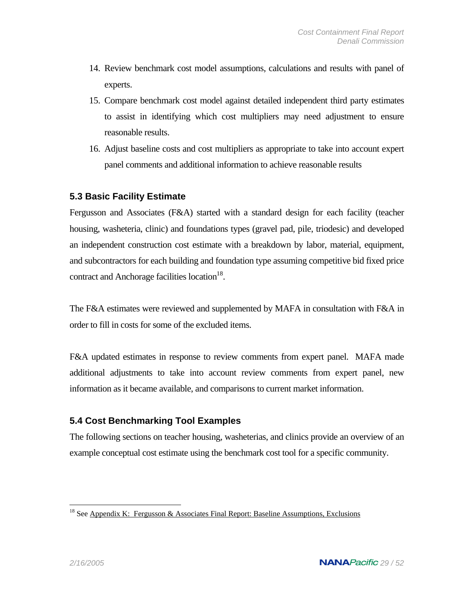- 14. Review benchmark cost model assumptions, calculations and results with panel of experts.
- 15. Compare benchmark cost model against detailed independent third party estimates to assist in identifying which cost multipliers may need adjustment to ensure reasonable results.
- 16. Adjust baseline costs and cost multipliers as appropriate to take into account expert panel comments and additional information to achieve reasonable results

### **5.3 Basic Facility Estimate**

Fergusson and Associates (F&A) started with a standard design for each facility (teacher housing, washeteria, clinic) and foundations types (gravel pad, pile, triodesic) and developed an independent construction cost estimate with a breakdown by labor, material, equipment, and subcontractors for each building and foundation type assuming competitive bid fixed price contract and Anchorage facilities location<sup>18</sup>.

The F&A estimates were reviewed and supplemented by MAFA in consultation with F&A in order to fill in costs for some of the excluded items.

F&A updated estimates in response to review comments from expert panel. MAFA made additional adjustments to take into account review comments from expert panel, new information as it became available, and comparisons to current market information.

## **5.4 Cost Benchmarking Tool Examples**

The following sections on teacher housing, washeterias, and clinics provide an overview of an example conceptual cost estimate using the benchmark cost tool for a specific community.

 $\overline{a}$ 

<sup>&</sup>lt;sup>18</sup> See Appendix K: Fergusson & Associates Final Report: Baseline Assumptions, Exclusions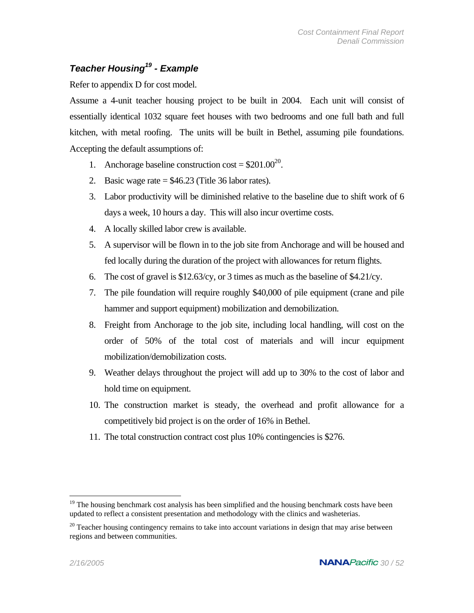## *Teacher Housing19 - Example*

Refer to appendix D for cost model.

Assume a 4-unit teacher housing project to be built in 2004. Each unit will consist of essentially identical 1032 square feet houses with two bedrooms and one full bath and full kitchen, with metal roofing. The units will be built in Bethel, assuming pile foundations. Accepting the default assumptions of:

- 1. Anchorage baseline construction cost =  $$201.00^{20}$ .
- 2. Basic wage rate  $= $46.23$  (Title 36 labor rates).
- 3. Labor productivity will be diminished relative to the baseline due to shift work of 6 days a week, 10 hours a day. This will also incur overtime costs.
- 4. A locally skilled labor crew is available.
- 5. A supervisor will be flown in to the job site from Anchorage and will be housed and fed locally during the duration of the project with allowances for return flights.
- 6. The cost of gravel is \$12.63/cy, or 3 times as much as the baseline of \$4.21/cy.
- 7. The pile foundation will require roughly \$40,000 of pile equipment (crane and pile hammer and support equipment) mobilization and demobilization.
- 8. Freight from Anchorage to the job site, including local handling, will cost on the order of 50% of the total cost of materials and will incur equipment mobilization/demobilization costs.
- 9. Weather delays throughout the project will add up to 30% to the cost of labor and hold time on equipment.
- 10. The construction market is steady, the overhead and profit allowance for a competitively bid project is on the order of 16% in Bethel.
- 11. The total construction contract cost plus 10% contingencies is \$276.

 $\overline{a}$ 

<sup>&</sup>lt;sup>19</sup> The housing benchmark cost analysis has been simplified and the housing benchmark costs have been updated to reflect a consistent presentation and methodology with the clinics and washeterias.

 $20$  Teacher housing contingency remains to take into account variations in design that may arise between regions and between communities.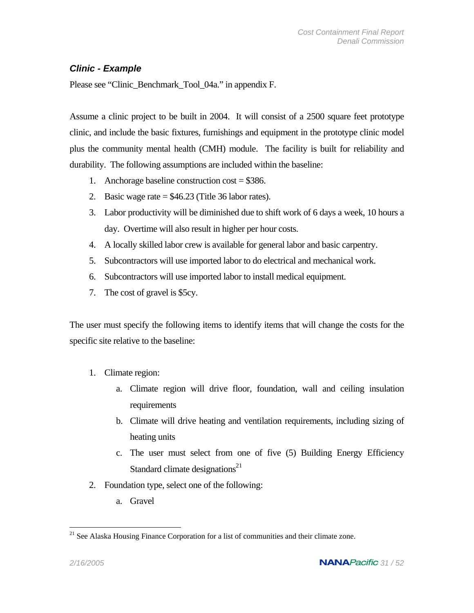### *Clinic - Example*

Please see "Clinic\_Benchmark\_Tool\_04a." in appendix F.

Assume a clinic project to be built in 2004. It will consist of a 2500 square feet prototype clinic, and include the basic fixtures, furnishings and equipment in the prototype clinic model plus the community mental health (CMH) module. The facility is built for reliability and durability. The following assumptions are included within the baseline:

- 1. Anchorage baseline construction  $cost = $386$ .
- 2. Basic wage rate  $= $46.23$  (Title 36 labor rates).
- 3. Labor productivity will be diminished due to shift work of 6 days a week, 10 hours a day. Overtime will also result in higher per hour costs.
- 4. A locally skilled labor crew is available for general labor and basic carpentry.
- 5. Subcontractors will use imported labor to do electrical and mechanical work.
- 6. Subcontractors will use imported labor to install medical equipment.
- 7. The cost of gravel is \$5cy.

The user must specify the following items to identify items that will change the costs for the specific site relative to the baseline:

- 1. Climate region:
	- a. Climate region will drive floor, foundation, wall and ceiling insulation requirements
	- b. Climate will drive heating and ventilation requirements, including sizing of heating units
	- c. The user must select from one of five (5) Building Energy Efficiency Standard climate designations $21$
- 2. Foundation type, select one of the following:
	- a. Gravel

 $\overline{a}$ <sup>21</sup> See Alaska Housing Finance Corporation for a list of communities and their climate zone.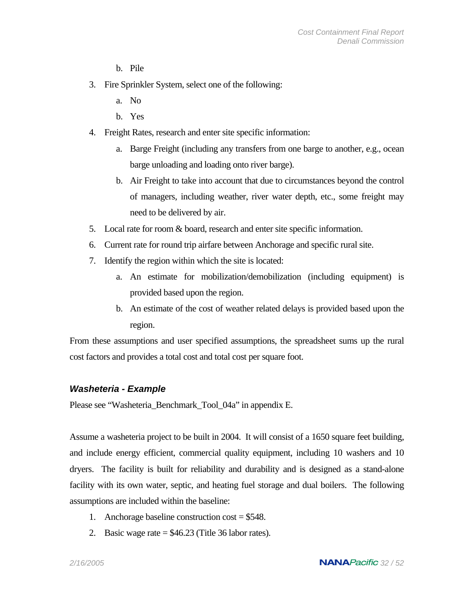- b. Pile
- 3. Fire Sprinkler System, select one of the following:
	- a. No
	- b. Yes
- 4. Freight Rates, research and enter site specific information:
	- a. Barge Freight (including any transfers from one barge to another, e.g., ocean barge unloading and loading onto river barge).
	- b. Air Freight to take into account that due to circumstances beyond the control of managers, including weather, river water depth, etc., some freight may need to be delivered by air.
- 5. Local rate for room & board, research and enter site specific information.
- 6. Current rate for round trip airfare between Anchorage and specific rural site.
- 7. Identify the region within which the site is located:
	- a. An estimate for mobilization/demobilization (including equipment) is provided based upon the region.
	- b. An estimate of the cost of weather related delays is provided based upon the region.

From these assumptions and user specified assumptions, the spreadsheet sums up the rural cost factors and provides a total cost and total cost per square foot.

#### *Washeteria - Example*

Please see "Washeteria\_Benchmark\_Tool\_04a" in appendix E.

Assume a washeteria project to be built in 2004. It will consist of a 1650 square feet building, and include energy efficient, commercial quality equipment, including 10 washers and 10 dryers. The facility is built for reliability and durability and is designed as a stand-alone facility with its own water, septic, and heating fuel storage and dual boilers. The following assumptions are included within the baseline:

- 1. Anchorage baseline construction cost = \$548.
- 2. Basic wage rate  $=$  \$46.23 (Title 36 labor rates).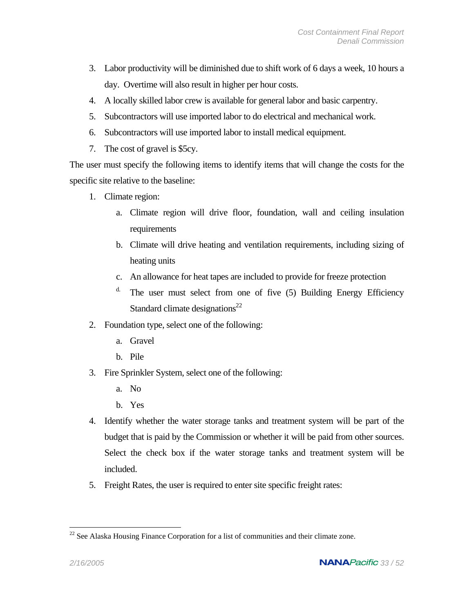- 3. Labor productivity will be diminished due to shift work of 6 days a week, 10 hours a day. Overtime will also result in higher per hour costs.
- 4. A locally skilled labor crew is available for general labor and basic carpentry.
- 5. Subcontractors will use imported labor to do electrical and mechanical work.
- 6. Subcontractors will use imported labor to install medical equipment.
- 7. The cost of gravel is \$5cy.

The user must specify the following items to identify items that will change the costs for the specific site relative to the baseline:

- 1. Climate region:
	- a. Climate region will drive floor, foundation, wall and ceiling insulation requirements
	- b. Climate will drive heating and ventilation requirements, including sizing of heating units
	- c. An allowance for heat tapes are included to provide for freeze protection
	- $d$ . The user must select from one of five  $(5)$  Building Energy Efficiency Standard climate designations $^{22}$
- 2. Foundation type, select one of the following:
	- a. Gravel
	- b. Pile
- 3. Fire Sprinkler System, select one of the following:
	- a. No
	- b. Yes
- 4. Identify whether the water storage tanks and treatment system will be part of the budget that is paid by the Commission or whether it will be paid from other sources. Select the check box if the water storage tanks and treatment system will be included.
- 5. Freight Rates, the user is required to enter site specific freight rates:

 $\overline{a}$ <sup>22</sup> See Alaska Housing Finance Corporation for a list of communities and their climate zone.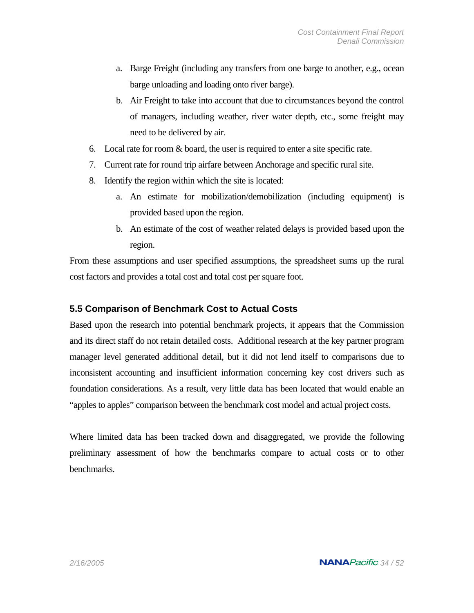- a. Barge Freight (including any transfers from one barge to another, e.g., ocean barge unloading and loading onto river barge).
- b. Air Freight to take into account that due to circumstances beyond the control of managers, including weather, river water depth, etc., some freight may need to be delivered by air.
- 6. Local rate for room & board, the user is required to enter a site specific rate.
- 7. Current rate for round trip airfare between Anchorage and specific rural site.
- 8. Identify the region within which the site is located:
	- a. An estimate for mobilization/demobilization (including equipment) is provided based upon the region.
	- b. An estimate of the cost of weather related delays is provided based upon the region.

From these assumptions and user specified assumptions, the spreadsheet sums up the rural cost factors and provides a total cost and total cost per square foot.

#### **5.5 Comparison of Benchmark Cost to Actual Costs**

Based upon the research into potential benchmark projects, it appears that the Commission and its direct staff do not retain detailed costs. Additional research at the key partner program manager level generated additional detail, but it did not lend itself to comparisons due to inconsistent accounting and insufficient information concerning key cost drivers such as foundation considerations. As a result, very little data has been located that would enable an "apples to apples" comparison between the benchmark cost model and actual project costs.

Where limited data has been tracked down and disaggregated, we provide the following preliminary assessment of how the benchmarks compare to actual costs or to other benchmarks.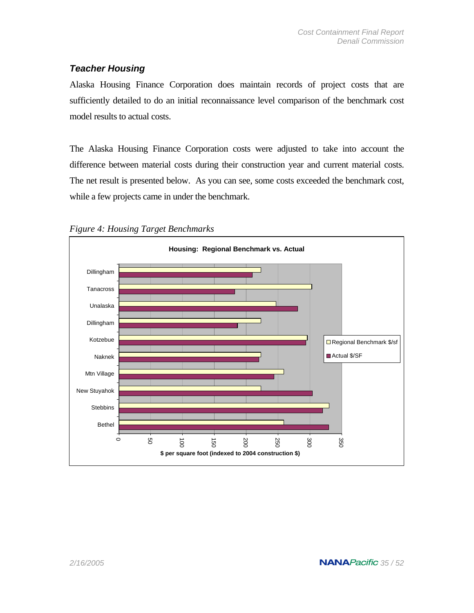### *Teacher Housing*

Alaska Housing Finance Corporation does maintain records of project costs that are sufficiently detailed to do an initial reconnaissance level comparison of the benchmark cost model results to actual costs.

The Alaska Housing Finance Corporation costs were adjusted to take into account the difference between material costs during their construction year and current material costs. The net result is presented below. As you can see, some costs exceeded the benchmark cost, while a few projects came in under the benchmark.



*Figure 4: Housing Target Benchmarks*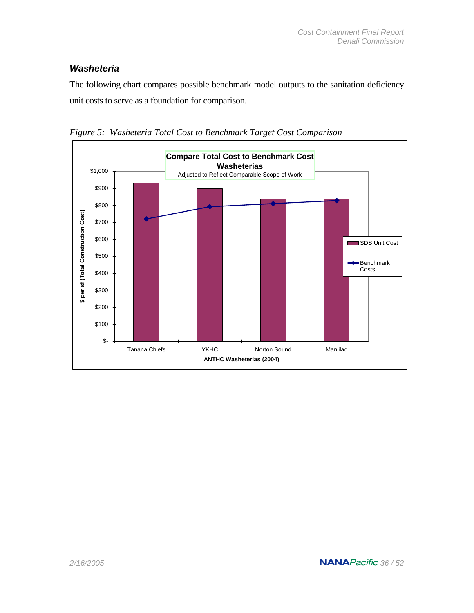### *Washeteria*

The following chart compares possible benchmark model outputs to the sanitation deficiency unit costs to serve as a foundation for comparison.



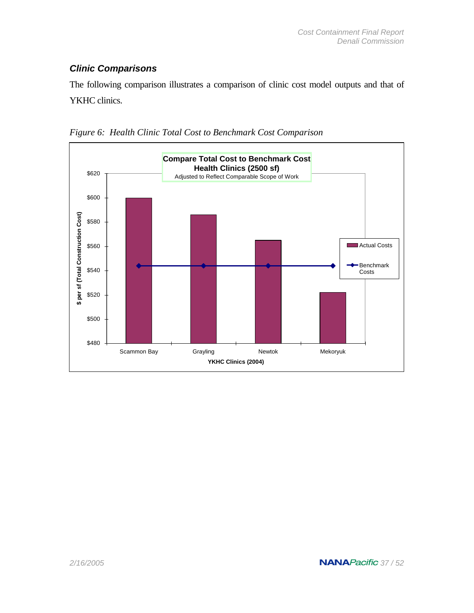## *Clinic Comparisons*

The following comparison illustrates a comparison of clinic cost model outputs and that of YKHC clinics.



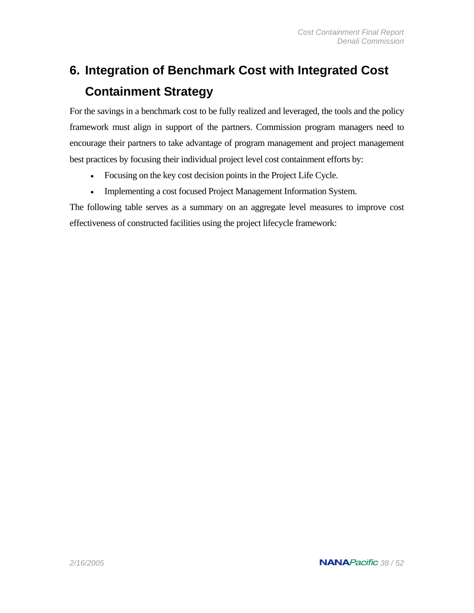# **6. Integration of Benchmark Cost with Integrated Cost Containment Strategy**

For the savings in a benchmark cost to be fully realized and leveraged, the tools and the policy framework must align in support of the partners. Commission program managers need to encourage their partners to take advantage of program management and project management best practices by focusing their individual project level cost containment efforts by:

- Focusing on the key cost decision points in the Project Life Cycle.
- Implementing a cost focused Project Management Information System.

The following table serves as a summary on an aggregate level measures to improve cost effectiveness of constructed facilities using the project lifecycle framework: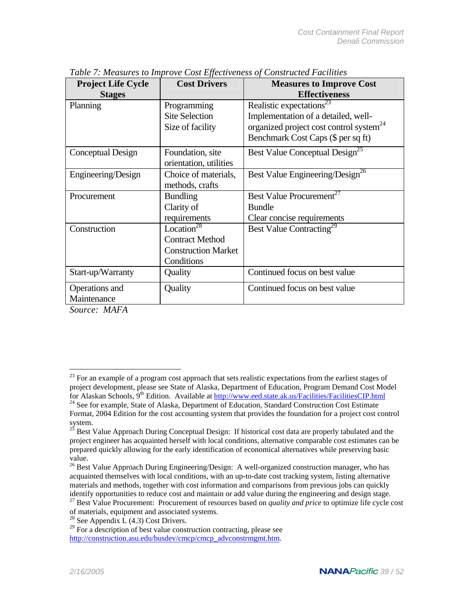| <b>Project Life Cycle</b><br><b>Stages</b> | <b>Cost Drivers</b>                 | <b>Measures to Improve Cost</b><br><b>Effectiveness</b> |
|--------------------------------------------|-------------------------------------|---------------------------------------------------------|
| Planning                                   | Programming                         | Realistic expectations <sup>23</sup>                    |
|                                            | <b>Site Selection</b>               | Implementation of a detailed, well-                     |
|                                            | Size of facility                    | organized project cost control system <sup>24</sup>     |
|                                            |                                     | Benchmark Cost Caps (\$ per sq ft)                      |
| Conceptual Design                          | Foundation, site                    | Best Value Conceptual Design <sup>25</sup>              |
|                                            | orientation, utilities              |                                                         |
| Engineering/Design                         | Choice of materials,                | Best Value Engineering/Design <sup>26</sup>             |
|                                            | methods, crafts                     |                                                         |
| Procurement                                | <b>Bundling</b>                     | Best Value Procurement <sup>27</sup>                    |
|                                            | Clarity of                          | <b>Bundle</b>                                           |
|                                            | requirements                        | Clear concise requirements                              |
| Construction                               | Location <sup><math>28</math></sup> | Best Value Contracting <sup>29</sup>                    |
|                                            | <b>Contract Method</b>              |                                                         |
|                                            | <b>Construction Market</b>          |                                                         |
|                                            | Conditions                          |                                                         |
| Start-up/Warranty                          | Quality                             | Continued focus on best value                           |
| Operations and                             | Quality                             | Continued focus on best value                           |
| Maintenance                                |                                     |                                                         |

*Table 7: Measures to Improve Cost Effectiveness of Constructed Facilities* 

*Source: MAFA* 

 $\overline{a}$ 

 $2<sup>23</sup>$  For an example of a program cost approach that sets realistic expectations from the earliest stages of project development, please see State of Alaska, Department of Education, Program Demand Cost Model<br>for Alaskan Schools, 9<sup>th</sup> Edition. Available at http://www.eed.state.ak.us/Facilities/FacilitiesCIP.html <sup>24</sup> See for example, State of Alaska, Department of Education, Standard Construction Cost Estimate Format, 2004 Edition for the cost accounting system that provides the foundation for a project cost control<br>system.<br><sup>25</sup> Best Value Approach During Conceptual Decision of historical and discussed at the little of the state

Best Value Approach During Conceptual Design: If historical cost data are properly tabulated and the project engineer has acquainted herself with local conditions, alternative comparable cost estimates can be prepared quickly allowing for the early identification of economical alternatives while preserving basic

<sup>&</sup>lt;sup>26</sup> Best Value Approach During Engineering/Design: A well-organized construction manager, who has acquainted themselves with local conditions, with an up-to-date cost tracking system, listing alternative materials and methods, together with cost information and comparisons from previous jobs can quickly identify opportunities to reduce cost and maintain or add value during the engineering and design stage.

<sup>&</sup>lt;sup>27</sup> Best Value Procurement: Procurement of resources based on *quality and price* to optimize life cycle cost of materials, equipment and associated systems. <sup>28</sup> See Appendix L  $(4.3)$  Cost Drivers.

 $29$  For a description of best value construction contracting, please see http://construction.asu.edu/busdev/cmcp/cmcp\_advconstrmgmt.htm.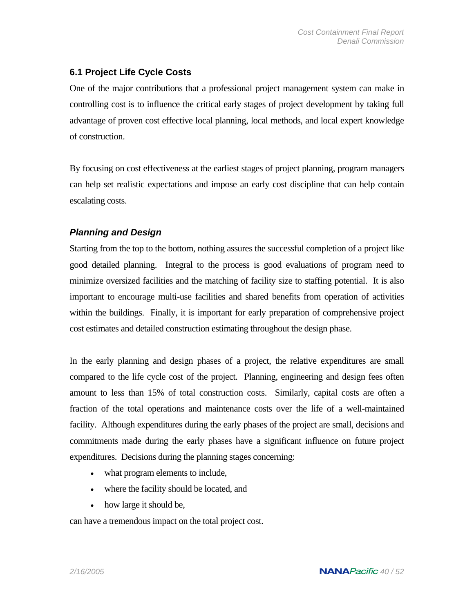## **6.1 Project Life Cycle Costs**

One of the major contributions that a professional project management system can make in controlling cost is to influence the critical early stages of project development by taking full advantage of proven cost effective local planning, local methods, and local expert knowledge of construction.

By focusing on cost effectiveness at the earliest stages of project planning, program managers can help set realistic expectations and impose an early cost discipline that can help contain escalating costs.

## *Planning and Design*

Starting from the top to the bottom, nothing assures the successful completion of a project like good detailed planning. Integral to the process is good evaluations of program need to minimize oversized facilities and the matching of facility size to staffing potential. It is also important to encourage multi-use facilities and shared benefits from operation of activities within the buildings. Finally, it is important for early preparation of comprehensive project cost estimates and detailed construction estimating throughout the design phase.

In the early planning and design phases of a project, the relative expenditures are small compared to the life cycle cost of the project. Planning, engineering and design fees often amount to less than 15% of total construction costs. Similarly, capital costs are often a fraction of the total operations and maintenance costs over the life of a well-maintained facility. Although expenditures during the early phases of the project are small, decisions and commitments made during the early phases have a significant influence on future project expenditures. Decisions during the planning stages concerning:

- what program elements to include,
- where the facility should be located, and
- how large it should be,

can have a tremendous impact on the total project cost.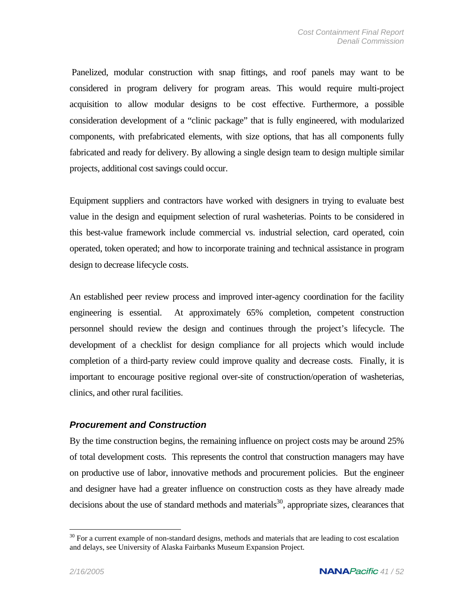Panelized, modular construction with snap fittings, and roof panels may want to be considered in program delivery for program areas. This would require multi-project acquisition to allow modular designs to be cost effective. Furthermore, a possible consideration development of a "clinic package" that is fully engineered, with modularized components, with prefabricated elements, with size options, that has all components fully fabricated and ready for delivery. By allowing a single design team to design multiple similar projects, additional cost savings could occur.

Equipment suppliers and contractors have worked with designers in trying to evaluate best value in the design and equipment selection of rural washeterias. Points to be considered in this best-value framework include commercial vs. industrial selection, card operated, coin operated, token operated; and how to incorporate training and technical assistance in program design to decrease lifecycle costs.

An established peer review process and improved inter-agency coordination for the facility engineering is essential. At approximately 65% completion, competent construction personnel should review the design and continues through the project's lifecycle. The development of a checklist for design compliance for all projects which would include completion of a third-party review could improve quality and decrease costs. Finally, it is important to encourage positive regional over-site of construction/operation of washeterias, clinics, and other rural facilities.

#### *Procurement and Construction*

By the time construction begins, the remaining influence on project costs may be around 25% of total development costs. This represents the control that construction managers may have on productive use of labor, innovative methods and procurement policies. But the engineer and designer have had a greater influence on construction costs as they have already made decisions about the use of standard methods and materials<sup>30</sup>, appropriate sizes, clearances that

1

 $30$  For a current example of non-standard designs, methods and materials that are leading to cost escalation and delays, see University of Alaska Fairbanks Museum Expansion Project.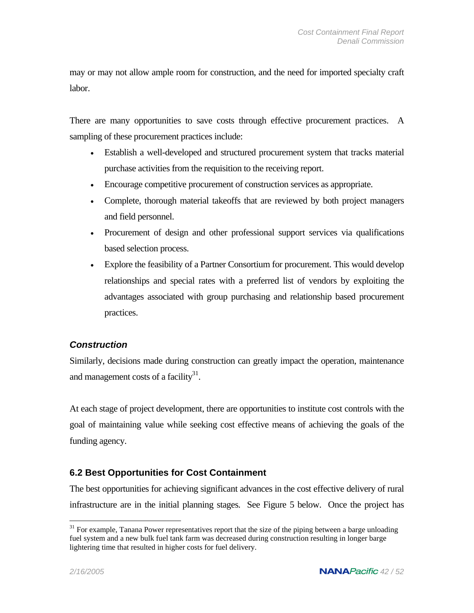may or may not allow ample room for construction, and the need for imported specialty craft labor.

There are many opportunities to save costs through effective procurement practices. A sampling of these procurement practices include:

- Establish a well-developed and structured procurement system that tracks material purchase activities from the requisition to the receiving report.
- Encourage competitive procurement of construction services as appropriate.
- Complete, thorough material takeoffs that are reviewed by both project managers and field personnel.
- Procurement of design and other professional support services via qualifications based selection process.
- Explore the feasibility of a Partner Consortium for procurement. This would develop relationships and special rates with a preferred list of vendors by exploiting the advantages associated with group purchasing and relationship based procurement practices.

### *Construction*

Similarly, decisions made during construction can greatly impact the operation, maintenance and management costs of a facility $31$ .

At each stage of project development, there are opportunities to institute cost controls with the goal of maintaining value while seeking cost effective means of achieving the goals of the funding agency.

## **6.2 Best Opportunities for Cost Containment**

The best opportunities for achieving significant advances in the cost effective delivery of rural infrastructure are in the initial planning stages. See Figure 5 below. Once the project has

1

<sup>&</sup>lt;sup>31</sup> For example, Tanana Power representatives report that the size of the piping between a barge unloading fuel system and a new bulk fuel tank farm was decreased during construction resulting in longer barge lightering time that resulted in higher costs for fuel delivery.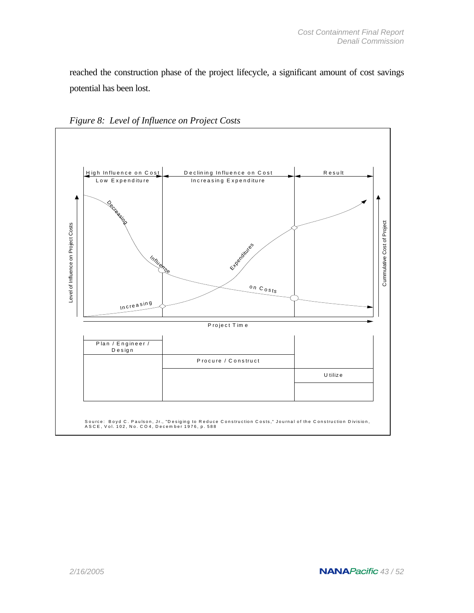reached the construction phase of the project lifecycle, a significant amount of cost savings potential has been lost.



*Figure 8: Level of Influence on Project Costs*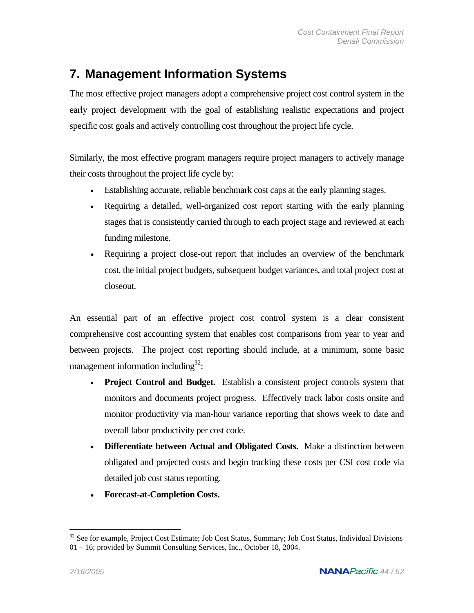## **7. Management Information Systems**

The most effective project managers adopt a comprehensive project cost control system in the early project development with the goal of establishing realistic expectations and project specific cost goals and actively controlling cost throughout the project life cycle.

Similarly, the most effective program managers require project managers to actively manage their costs throughout the project life cycle by:

- Establishing accurate, reliable benchmark cost caps at the early planning stages.
- Requiring a detailed, well-organized cost report starting with the early planning stages that is consistently carried through to each project stage and reviewed at each funding milestone.
- Requiring a project close-out report that includes an overview of the benchmark cost, the initial project budgets, subsequent budget variances, and total project cost at closeout.

An essential part of an effective project cost control system is a clear consistent comprehensive cost accounting system that enables cost comparisons from year to year and between projects. The project cost reporting should include, at a minimum, some basic management information including $32$ :

- **Project Control and Budget.** Establish a consistent project controls system that monitors and documents project progress. Effectively track labor costs onsite and monitor productivity via man-hour variance reporting that shows week to date and overall labor productivity per cost code.
- **Differentiate between Actual and Obligated Costs.** Make a distinction between obligated and projected costs and begin tracking these costs per CSI cost code via detailed job cost status reporting.
- **Forecast-at-Completion Costs.**

 $\overline{a}$ 

<sup>&</sup>lt;sup>32</sup> See for example, Project Cost Estimate; Job Cost Status, Summary; Job Cost Status, Individual Divisions 01 – 16; provided by Summit Consulting Services, Inc., October 18, 2004.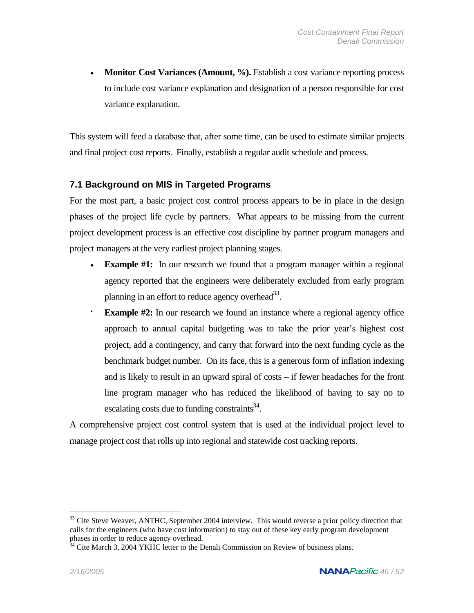**Monitor Cost Variances (Amount, %).** Establish a cost variance reporting process to include cost variance explanation and designation of a person responsible for cost variance explanation.

This system will feed a database that, after some time, can be used to estimate similar projects and final project cost reports. Finally, establish a regular audit schedule and process.

## **7.1 Background on MIS in Targeted Programs**

For the most part, a basic project cost control process appears to be in place in the design phases of the project life cycle by partners. What appears to be missing from the current project development process is an effective cost discipline by partner program managers and project managers at the very earliest project planning stages.

- **Example #1:** In our research we found that a program manager within a regional agency reported that the engineers were deliberately excluded from early program planning in an effort to reduce agency overhead $^{33}$ .
- **Example #2:** In our research we found an instance where a regional agency office approach to annual capital budgeting was to take the prior year's highest cost project, add a contingency, and carry that forward into the next funding cycle as the benchmark budget number. On its face, this is a generous form of inflation indexing and is likely to result in an upward spiral of costs – if fewer headaches for the front line program manager who has reduced the likelihood of having to say no to escalating costs due to funding constraints $34$ .

A comprehensive project cost control system that is used at the individual project level to manage project cost that rolls up into regional and statewide cost tracking reports.

 $\overline{a}$ 

<sup>&</sup>lt;sup>33</sup> Cite Steve Weaver, ANTHC, September 2004 interview. This would reverse a prior policy direction that calls for the engineers (who have cost information) to stay out of these key early program development phases in order to reduce agency overhead.<br><sup>34</sup> Cite March 3, 2004 YKHC letter to the Denali Commission on Review of business plans.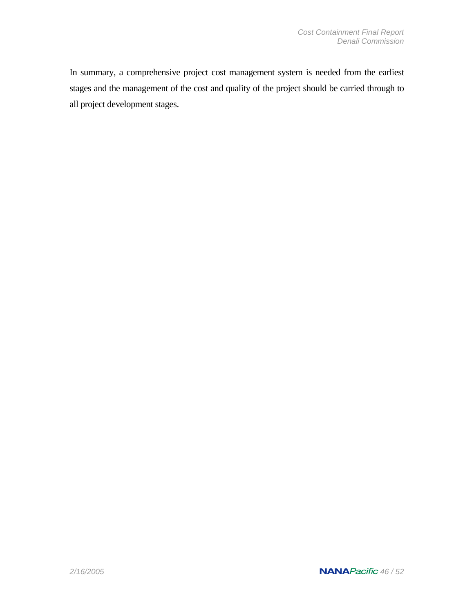In summary, a comprehensive project cost management system is needed from the earliest stages and the management of the cost and quality of the project should be carried through to all project development stages.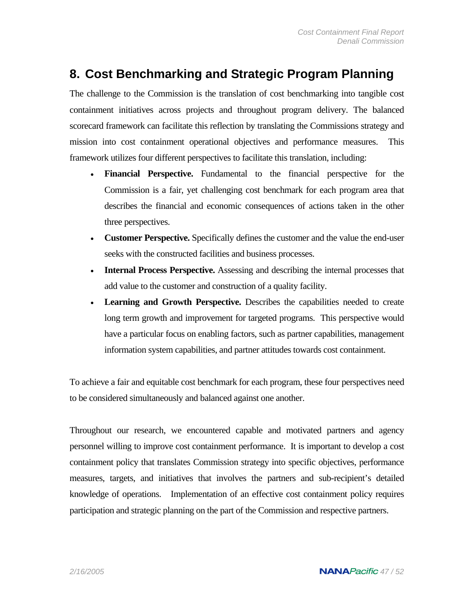## **8. Cost Benchmarking and Strategic Program Planning**

The challenge to the Commission is the translation of cost benchmarking into tangible cost containment initiatives across projects and throughout program delivery. The balanced scorecard framework can facilitate this reflection by translating the Commissions strategy and mission into cost containment operational objectives and performance measures. This framework utilizes four different perspectives to facilitate this translation, including:

- **Financial Perspective.** Fundamental to the financial perspective for the Commission is a fair, yet challenging cost benchmark for each program area that describes the financial and economic consequences of actions taken in the other three perspectives.
- **Customer Perspective.** Specifically defines the customer and the value the end-user seeks with the constructed facilities and business processes.
- **Internal Process Perspective.** Assessing and describing the internal processes that add value to the customer and construction of a quality facility.
- **Learning and Growth Perspective.** Describes the capabilities needed to create long term growth and improvement for targeted programs. This perspective would have a particular focus on enabling factors, such as partner capabilities, management information system capabilities, and partner attitudes towards cost containment.

To achieve a fair and equitable cost benchmark for each program, these four perspectives need to be considered simultaneously and balanced against one another.

Throughout our research, we encountered capable and motivated partners and agency personnel willing to improve cost containment performance. It is important to develop a cost containment policy that translates Commission strategy into specific objectives, performance measures, targets, and initiatives that involves the partners and sub-recipient's detailed knowledge of operations. Implementation of an effective cost containment policy requires participation and strategic planning on the part of the Commission and respective partners.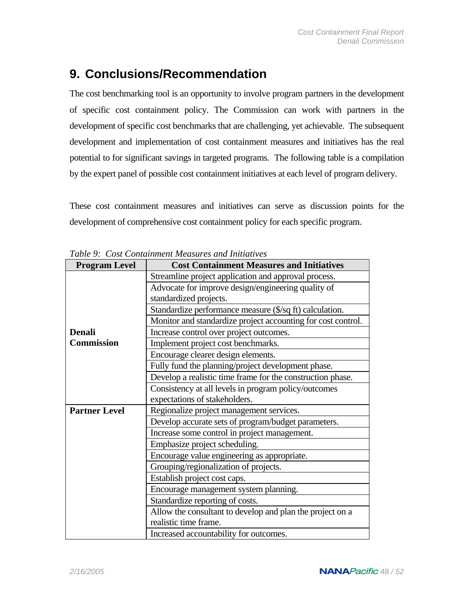## **9. Conclusions/Recommendation**

The cost benchmarking tool is an opportunity to involve program partners in the development of specific cost containment policy. The Commission can work with partners in the development of specific cost benchmarks that are challenging, yet achievable. The subsequent development and implementation of cost containment measures and initiatives has the real potential to for significant savings in targeted programs. The following table is a compilation by the expert panel of possible cost containment initiatives at each level of program delivery.

These cost containment measures and initiatives can serve as discussion points for the development of comprehensive cost containment policy for each specific program.

| <b>Program Level</b> | <b>Cost Containment Measures and Initiatives</b>                                                                        |  |
|----------------------|-------------------------------------------------------------------------------------------------------------------------|--|
|                      | Streamline project application and approval process.                                                                    |  |
|                      | Advocate for improve design/engineering quality of                                                                      |  |
|                      | standardized projects.                                                                                                  |  |
|                      | Standardize performance measure (\$/sq ft) calculation.<br>Monitor and standardize project accounting for cost control. |  |
|                      |                                                                                                                         |  |
| <b>Denali</b>        | Increase control over project outcomes.                                                                                 |  |
| <b>Commission</b>    | Implement project cost benchmarks.                                                                                      |  |
|                      | Encourage clearer design elements.                                                                                      |  |
|                      | Fully fund the planning/project development phase.                                                                      |  |
|                      | Develop a realistic time frame for the construction phase.                                                              |  |
|                      | Consistency at all levels in program policy/outcomes                                                                    |  |
|                      | expectations of stakeholders.                                                                                           |  |
| <b>Partner Level</b> | Regionalize project management services.                                                                                |  |
|                      | Develop accurate sets of program/budget parameters.                                                                     |  |
|                      | Increase some control in project management.                                                                            |  |
|                      | Emphasize project scheduling.                                                                                           |  |
|                      | Encourage value engineering as appropriate.                                                                             |  |
|                      | Grouping/regionalization of projects.                                                                                   |  |
|                      | Establish project cost caps.                                                                                            |  |
|                      | Encourage management system planning.                                                                                   |  |
|                      | Standardize reporting of costs.                                                                                         |  |
|                      | Allow the consultant to develop and plan the project on a                                                               |  |
|                      | realistic time frame.                                                                                                   |  |
|                      | Increased accountability for outcomes.                                                                                  |  |

*Table 9: Cost Containment Measures and Initiatives*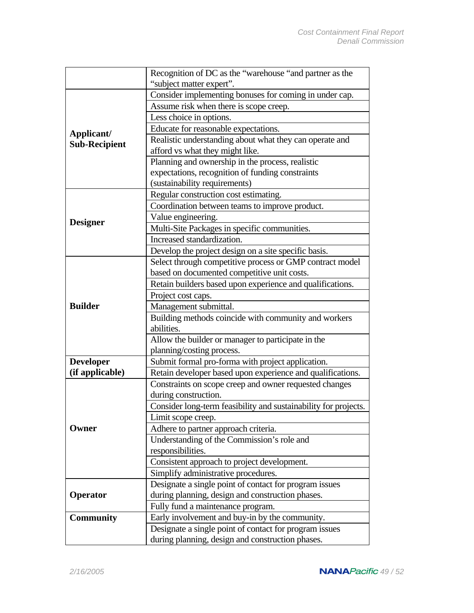|                                    | Recognition of DC as the "warehouse "and partner as the         |  |  |
|------------------------------------|-----------------------------------------------------------------|--|--|
|                                    | "subject matter expert".                                        |  |  |
|                                    | Consider implementing bonuses for coming in under cap.          |  |  |
|                                    | Assume risk when there is scope creep.                          |  |  |
|                                    | Less choice in options.                                         |  |  |
|                                    | Educate for reasonable expectations.                            |  |  |
| Applicant/<br><b>Sub-Recipient</b> | Realistic understanding about what they can operate and         |  |  |
|                                    | afford vs what they might like.                                 |  |  |
|                                    | Planning and ownership in the process, realistic                |  |  |
|                                    | expectations, recognition of funding constraints                |  |  |
|                                    | (sustainability requirements)                                   |  |  |
|                                    | Regular construction cost estimating.                           |  |  |
|                                    | Coordination between teams to improve product.                  |  |  |
|                                    | Value engineering.                                              |  |  |
| <b>Designer</b>                    | Multi-Site Packages in specific communities.                    |  |  |
|                                    | Increased standardization.                                      |  |  |
|                                    | Develop the project design on a site specific basis.            |  |  |
|                                    | Select through competitive process or GMP contract model        |  |  |
|                                    | based on documented competitive unit costs.                     |  |  |
|                                    | Retain builders based upon experience and qualifications.       |  |  |
|                                    | Project cost caps.                                              |  |  |
| <b>Builder</b>                     | Management submittal.                                           |  |  |
|                                    | Building methods coincide with community and workers            |  |  |
|                                    | abilities.                                                      |  |  |
|                                    | Allow the builder or manager to participate in the              |  |  |
|                                    | planning/costing process.                                       |  |  |
| <b>Developer</b>                   | Submit formal pro-forma with project application.               |  |  |
| (if applicable)                    | Retain developer based upon experience and qualifications.      |  |  |
|                                    | Constraints on scope creep and owner requested changes          |  |  |
|                                    | during construction.                                            |  |  |
|                                    | Consider long-term feasibility and sustainability for projects. |  |  |
|                                    | Limit scope creep.                                              |  |  |
| Owner                              | Adhere to partner approach criteria.                            |  |  |
|                                    | Understanding of the Commission's role and                      |  |  |
|                                    | responsibilities.                                               |  |  |
|                                    | Consistent approach to project development.                     |  |  |
|                                    | Simplify administrative procedures.                             |  |  |
|                                    | Designate a single point of contact for program issues          |  |  |
| Operator                           | during planning, design and construction phases.                |  |  |
|                                    | Fully fund a maintenance program.                               |  |  |
| <b>Community</b>                   | Early involvement and buy-in by the community.                  |  |  |
|                                    | Designate a single point of contact for program issues          |  |  |
|                                    | during planning, design and construction phases.                |  |  |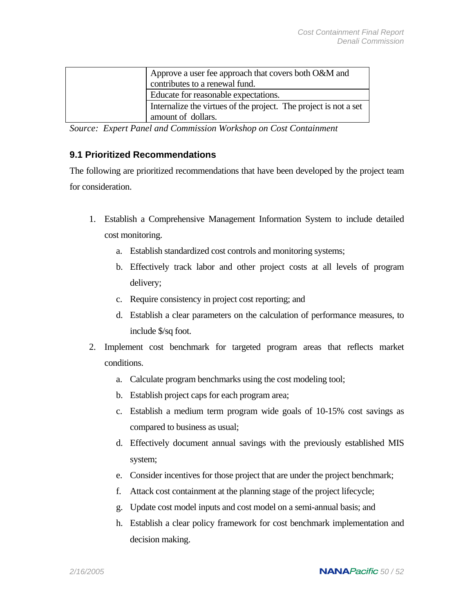| Approve a user fee approach that covers both O&M and<br>contributes to a renewal fund. |
|----------------------------------------------------------------------------------------|
| Educate for reasonable expectations.                                                   |
| Internalize the virtues of the project. The project is not a set                       |
| amount of dollars.                                                                     |

*Source: Expert Panel and Commission Workshop on Cost Containment* 

### **9.1 Prioritized Recommendations**

The following are prioritized recommendations that have been developed by the project team for consideration.

- 1. Establish a Comprehensive Management Information System to include detailed cost monitoring.
	- a. Establish standardized cost controls and monitoring systems;
	- b. Effectively track labor and other project costs at all levels of program delivery;
	- c. Require consistency in project cost reporting; and
	- d. Establish a clear parameters on the calculation of performance measures, to include \$/sq foot.
- 2. Implement cost benchmark for targeted program areas that reflects market conditions.
	- a. Calculate program benchmarks using the cost modeling tool;
	- b. Establish project caps for each program area;
	- c. Establish a medium term program wide goals of 10-15% cost savings as compared to business as usual;
	- d. Effectively document annual savings with the previously established MIS system;
	- e. Consider incentives for those project that are under the project benchmark;
	- f. Attack cost containment at the planning stage of the project lifecycle;
	- g. Update cost model inputs and cost model on a semi-annual basis; and
	- h. Establish a clear policy framework for cost benchmark implementation and decision making.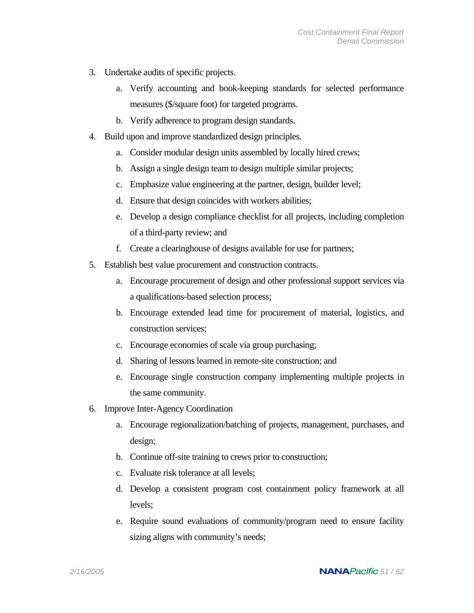- 3. Undertake audits of specific projects.
	- a. Verify accounting and book-keeping standards for selected performance measures (\$/square foot) for targeted programs.
	- b. Verify adherence to program design standards.
- 4. Build upon and improve standardized design principles.
	- a. Consider modular design units assembled by locally hired crews;
	- b. Assign a single design team to design multiple similar projects;
	- c. Emphasize value engineering at the partner, design, builder level;
	- d. Ensure that design coincides with workers abilities;
	- e. Develop a design compliance checklist for all projects, including completion of a third-party review; and
	- f. Create a clearinghouse of designs available for use for partners;
- 5. Establish best value procurement and construction contracts.
	- a. Encourage procurement of design and other professional support services via a qualifications-based selection process;
	- b. Encourage extended lead time for procurement of material, logistics, and construction services;
	- c. Encourage economies of scale via group purchasing;
	- d. Sharing of lessons learned in remote-site construction; and
	- e. Encourage single construction company implementing multiple projects in the same community.
- 6. Improve Inter-Agency Coordination
	- a. Encourage regionalization/batching of projects, management, purchases, and design;
	- b. Continue off-site training to crews prior to construction;
	- c. Evaluate risk tolerance at all levels;
	- d. Develop a consistent program cost containment policy framework at all levels;
	- e. Require sound evaluations of community/program need to ensure facility sizing aligns with community's needs;